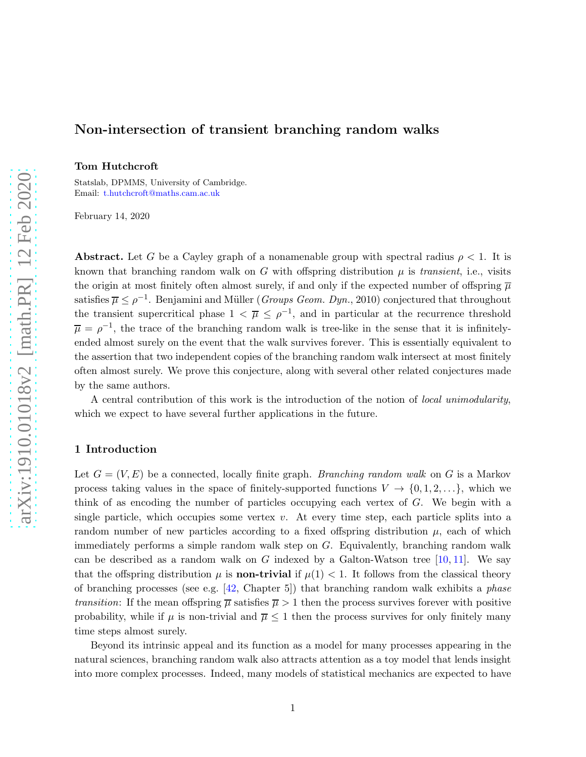# Non-intersection of transient branching random walks

Tom Hutchcroft

Statslab, DPMMS, University of Cambridge. Email: [t.hutchcroft@maths.cam.ac.uk](mailto:t.hutchcroft@maths.cam.ac.uk)

February 14, 2020

**Abstract.** Let G be a Cayley graph of a nonamenable group with spectral radius  $\rho < 1$ . It is known that branching random walk on G with offspring distribution  $\mu$  is transient, i.e., visits the origin at most finitely often almost surely, if and only if the expected number of offspring  $\overline{\mu}$ satisfies  $\overline{\mu} \leq \rho^{-1}$ . Benjamini and Müller (*Groups Geom. Dyn.*, 2010) conjectured that throughout the transient supercritical phase  $1 < \overline{\mu} \leq \rho^{-1}$ , and in particular at the recurrence threshold  $\overline{\mu} = \rho^{-1}$ , the trace of the branching random walk is tree-like in the sense that it is infinitelyended almost surely on the event that the walk survives forever. This is essentially equivalent to the assertion that two independent copies of the branching random walk intersect at most finitely often almost surely. We prove this conjecture, along with several other related conjectures made by the same authors.

A central contribution of this work is the introduction of the notion of local unimodularity, which we expect to have several further applications in the future.

# 1 Introduction

Let  $G = (V, E)$  be a connected, locally finite graph. Branching random walk on G is a Markov process taking values in the space of finitely-supported functions  $V \to \{0, 1, 2, \ldots\}$ , which we think of as encoding the number of particles occupying each vertex of G. We begin with a single particle, which occupies some vertex  $v$ . At every time step, each particle splits into a random number of new particles according to a fixed offspring distribution  $\mu$ , each of which immediately performs a simple random walk step on G. Equivalently, branching random walk can be described as a random walk on G indexed by a Galton-Watson tree [\[10,](#page-20-0) [11\]](#page-20-1). We say that the offspring distribution  $\mu$  is **non-trivial** if  $\mu(1) < 1$ . It follows from the classical theory of branching processes (see e.g. [\[42,](#page-21-0) Chapter 5]) that branching random walk exhibits a phase transition: If the mean offspring  $\overline{\mu}$  satisfies  $\overline{\mu} > 1$  then the process survives forever with positive probability, while if  $\mu$  is non-trivial and  $\overline{\mu} \leq 1$  then the process survives for only finitely many time steps almost surely.

Beyond its intrinsic appeal and its function as a model for many processes appearing in the natural sciences, branching random walk also attracts attention as a toy model that lends insight into more complex processes. Indeed, many models of statistical mechanics are expected to have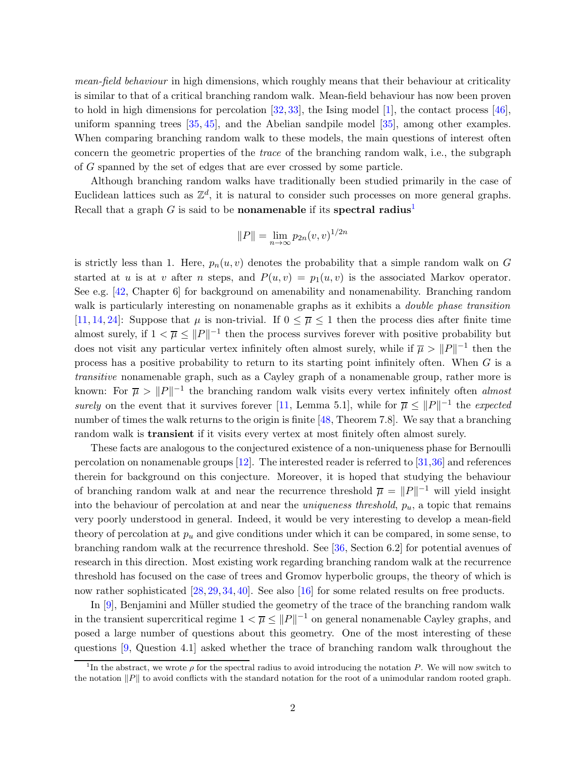mean-field behaviour in high dimensions, which roughly means that their behaviour at criticality is similar to that of a critical branching random walk. Mean-field behaviour has now been proven to hold in high dimensions for percolation  $[32, 33]$  $[32, 33]$ , the Ising model  $[1]$ , the contact process  $[46]$ , uniform spanning trees [\[35,](#page-21-2) [45\]](#page-21-3), and the Abelian sandpile model [\[35\]](#page-21-2), among other examples. When comparing branching random walk to these models, the main questions of interest often concern the geometric properties of the trace of the branching random walk, i.e., the subgraph of G spanned by the set of edges that are ever crossed by some particle.

Although branching random walks have traditionally been studied primarily in the case of Euclidean lattices such as  $\mathbb{Z}^d$ , it is natural to consider such processes on more general graphs. Recall that a graph G is said to be **nonamenable** if its **spectral radius**<sup>1</sup>

$$
||P|| = \lim_{n \to \infty} p_{2n}(v, v)^{1/2n}
$$

is strictly less than 1. Here,  $p_n(u, v)$  denotes the probability that a simple random walk on G started at u is at v after n steps, and  $P(u, v) = p_1(u, v)$  is the associated Markov operator. See e.g. [\[42,](#page-21-0) Chapter 6] for background on amenability and nonamenability. Branching random walk is particularly interesting on nonamenable graphs as it exhibits a *double phase transition* [\[11,](#page-20-1) [14,](#page-20-4) [24\]](#page-20-5): Suppose that  $\mu$  is non-trivial. If  $0 \leq \overline{\mu} \leq 1$  then the process dies after finite time almost surely, if  $1 < \overline{\mu} \leq ||P||^{-1}$  then the process survives forever with positive probability but does not visit any particular vertex infinitely often almost surely, while if  $\overline{\mu} > ||P||^{-1}$  then the process has a positive probability to return to its starting point infinitely often. When G is a transitive nonamenable graph, such as a Cayley graph of a nonamenable group, rather more is known: For  $\overline{\mu} > ||P||^{-1}$  the branching random walk visits every vertex infinitely often *almost* surely on the event that it survives forever [\[11,](#page-20-1) Lemma 5.1], while for  $\overline{\mu} \leq ||P||^{-1}$  the expected number of times the walk returns to the origin is finite [\[48,](#page-21-4) Theorem 7.8]. We say that a branching random walk is **transient** if it visits every vertex at most finitely often almost surely.

These facts are analogous to the conjectured existence of a non-uniqueness phase for Bernoulli percolation on nonamenable groups [\[12\]](#page-20-6). The interested reader is referred to [\[31,](#page-20-7)[36\]](#page-21-5) and references therein for background on this conjecture. Moreover, it is hoped that studying the behaviour of branching random walk at and near the recurrence threshold  $\bar{\mu} = ||P||^{-1}$  will yield insight into the behaviour of percolation at and near the *uniqueness threshold*,  $p_u$ , a topic that remains very poorly understood in general. Indeed, it would be very interesting to develop a mean-field theory of percolation at  $p_u$  and give conditions under which it can be compared, in some sense, to branching random walk at the recurrence threshold. See [\[36,](#page-21-5) Section 6.2] for potential avenues of research in this direction. Most existing work regarding branching random walk at the recurrence threshold has focused on the case of trees and Gromov hyperbolic groups, the theory of which is now rather sophisticated [\[28,](#page-20-8) [29,](#page-20-9) [34,](#page-20-10) [40\]](#page-21-6). See also [\[16\]](#page-20-11) for some related results on free products.

In  $[9]$ , Benjamini and Müller studied the geometry of the trace of the branching random walk in the transient supercritical regime  $1 < \overline{\mu} \leq ||P||^{-1}$  on general nonamenable Cayley graphs, and posed a large number of questions about this geometry. One of the most interesting of these questions [\[9,](#page-20-12) Question 4.1] asked whether the trace of branching random walk throughout the

<sup>&</sup>lt;sup>1</sup>In the abstract, we wrote  $\rho$  for the spectral radius to avoid introducing the notation P. We will now switch to the notation  $||P||$  to avoid conflicts with the standard notation for the root of a unimodular random rooted graph.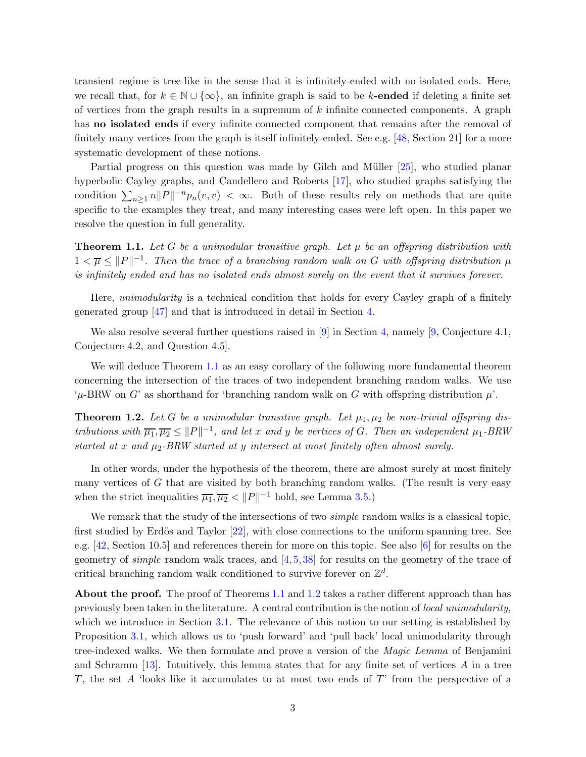transient regime is tree-like in the sense that it is infinitely-ended with no isolated ends. Here, we recall that, for  $k \in \mathbb{N} \cup \{\infty\}$ , an infinite graph is said to be k-ended if deleting a finite set of vertices from the graph results in a supremum of k infinite connected components. A graph has **no isolated ends** if every infinite connected component that remains after the removal of finitely many vertices from the graph is itself infinitely-ended. See e.g. [\[48,](#page-21-4) Section 21] for a more systematic development of these notions.

Partial progress on this question was made by Gilch and Müller  $[25]$ , who studied planar hyperbolic Cayley graphs, and Candellero and Roberts [\[17\]](#page-20-14), who studied graphs satisfying the condition  $\sum_{n\geq 1} n||P||^{-n}p_n(v, v) < \infty$ . Both of these results rely on methods that are quite specific to the examples they treat, and many interesting cases were left open. In this paper we resolve the question in full generality.

<span id="page-2-0"></span>**Theorem 1.1.** Let G be a unimodular transitive graph. Let  $\mu$  be an offspring distribution with  $1 < \overline{\mu} \leq ||P||^{-1}$ . Then the trace of a branching random walk on G with offspring distribution  $\mu$ is infinitely ended and has no isolated ends almost surely on the event that it survives forever.

Here, *unimodularity* is a technical condition that holds for every Cayley graph of a finitely generated group [\[47\]](#page-21-7) and that is introduced in detail in Section [4.](#page-16-0)

We also resolve several further questions raised in  $[9]$  in Section [4,](#page-16-0) namely [\[9,](#page-20-12) Conjecture 4.1, Conjecture 4.2, and Question 4.5].

We will deduce Theorem [1.1](#page-2-0) as an easy corollary of the following more fundamental theorem concerning the intersection of the traces of two independent branching random walks. We use ' $\mu$ -BRW on G' as shorthand for 'branching random walk on G with offspring distribution  $\mu$ '.

<span id="page-2-1"></span>**Theorem 1.2.** Let G be a unimodular transitive graph. Let  $\mu_1, \mu_2$  be non-trivial offspring distributions with  $\overline{\mu_1}, \overline{\mu_2} \leq ||P||^{-1}$ , and let x and y be vertices of G. Then an independent  $\mu_1$ -BRW started at x and  $\mu_2$ -BRW started at y intersect at most finitely often almost surely.

In other words, under the hypothesis of the theorem, there are almost surely at most finitely many vertices of  $G$  that are visited by both branching random walks. (The result is very easy when the strict inequalities  $\overline{\mu_1}, \overline{\mu_2} < ||P||^{-1}$  hold, see Lemma [3.5.](#page-13-0))

We remark that the study of the intersections of two *simple* random walks is a classical topic, first studied by Erdös and Taylor  $[22]$ , with close connections to the uniform spanning tree. See e.g. [\[42,](#page-21-0) Section 10.5] and references therein for more on this topic. See also [\[6\]](#page-19-1) for results on the geometry of simple random walk traces, and  $[4, 5, 38]$  $[4, 5, 38]$  $[4, 5, 38]$  $[4, 5, 38]$  for results on the geometry of the trace of critical branching random walk conditioned to survive forever on  $\mathbb{Z}^d$ .

About the proof. The proof of Theorems [1.1](#page-2-0) and [1.2](#page-2-1) takes a rather different approach than has previously been taken in the literature. A central contribution is the notion of local unimodularity, which we introduce in Section [3.1.](#page-5-0) The relevance of this notion to our setting is established by Proposition [3.1,](#page-7-0) which allows us to 'push forward' and 'pull back' local unimodularity through tree-indexed walks. We then formulate and prove a version of the Magic Lemma of Benjamini and Schramm  $[13]$ . Intuitively, this lemma states that for any finite set of vertices A in a tree T, the set A 'looks like it accumulates to at most two ends of T' from the perspective of a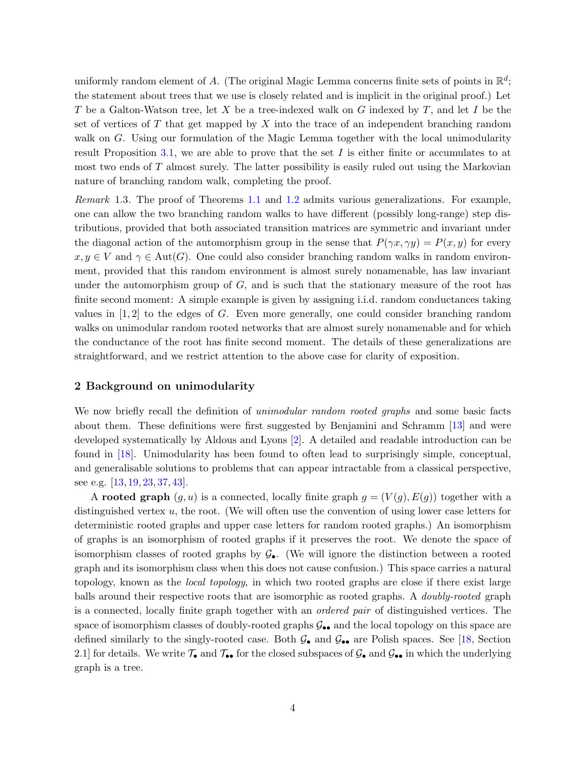uniformly random element of A. (The original Magic Lemma concerns finite sets of points in  $\mathbb{R}^d$ ; the statement about trees that we use is closely related and is implicit in the original proof.) Let T be a Galton-Watson tree, let X be a tree-indexed walk on G indexed by T, and let I be the set of vertices of  $T$  that get mapped by  $X$  into the trace of an independent branching random walk on G. Using our formulation of the Magic Lemma together with the local unimodularity result Proposition [3.1,](#page-7-0) we are able to prove that the set  $I$  is either finite or accumulates to at most two ends of  $T$  almost surely. The latter possibility is easily ruled out using the Markovian nature of branching random walk, completing the proof.

Remark 1.3. The proof of Theorems [1.1](#page-2-0) and [1.2](#page-2-1) admits various generalizations. For example, one can allow the two branching random walks to have different (possibly long-range) step distributions, provided that both associated transition matrices are symmetric and invariant under the diagonal action of the automorphism group in the sense that  $P(\gamma x, \gamma y) = P(x, y)$  for every  $x, y \in V$  and  $\gamma \in Aut(G)$ . One could also consider branching random walks in random environment, provided that this random environment is almost surely nonamenable, has law invariant under the automorphism group of  $G$ , and is such that the stationary measure of the root has finite second moment: A simple example is given by assigning i.i.d. random conductances taking values in  $[1, 2]$  to the edges of G. Even more generally, one could consider branching random walks on unimodular random rooted networks that are almost surely nonamenable and for which the conductance of the root has finite second moment. The details of these generalizations are straightforward, and we restrict attention to the above case for clarity of exposition.

# 2 Background on unimodularity

We now briefly recall the definition of unimodular random rooted graphs and some basic facts about them. These definitions were first suggested by Benjamini and Schramm [\[13\]](#page-20-16) and were developed systematically by Aldous and Lyons [\[2\]](#page-19-4). A detailed and readable introduction can be found in [\[18\]](#page-20-17). Unimodularity has been found to often lead to surprisingly simple, conceptual, and generalisable solutions to problems that can appear intractable from a classical perspective, see e.g. [\[13,](#page-20-16) [19,](#page-20-18) [23,](#page-20-19) [37,](#page-21-9) [43\]](#page-21-10).

A rooted graph  $(g, u)$  is a connected, locally finite graph  $g = (V(g), E(g))$  together with a distinguished vertex  $u$ , the root. (We will often use the convention of using lower case letters for deterministic rooted graphs and upper case letters for random rooted graphs.) An isomorphism of graphs is an isomorphism of rooted graphs if it preserves the root. We denote the space of isomorphism classes of rooted graphs by  $\mathcal{G}_{\bullet}$ . (We will ignore the distinction between a rooted graph and its isomorphism class when this does not cause confusion.) This space carries a natural topology, known as the local topology, in which two rooted graphs are close if there exist large balls around their respective roots that are isomorphic as rooted graphs. A doubly-rooted graph is a connected, locally finite graph together with an ordered pair of distinguished vertices. The space of isomorphism classes of doubly-rooted graphs  $\mathcal{G}_{\bullet\bullet}$  and the local topology on this space are defined similarly to the singly-rooted case. Both  $G_{\bullet}$  and  $G_{\bullet}$  are Polish spaces. See [\[18,](#page-20-17) Section 2.1] for details. We write  $\mathcal{T}_{\bullet}$  and  $\mathcal{T}_{\bullet}$  for the closed subspaces of  $\mathcal{G}_{\bullet}$  and  $\mathcal{G}_{\bullet\bullet}$  in which the underlying graph is a tree.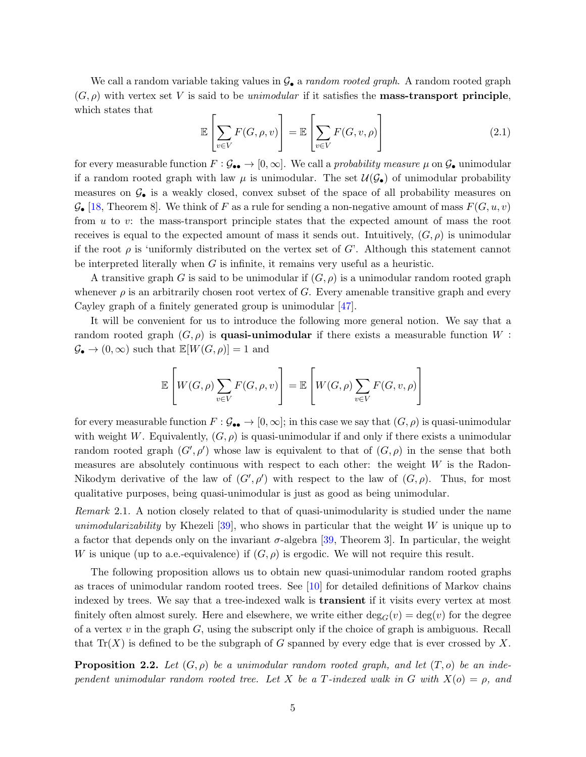We call a random variable taking values in  $\mathcal{G}_\bullet$  a *random rooted graph*. A random rooted graph  $(G, \rho)$  with vertex set V is said to be *unimodular* if it satisfies the **mass-transport principle**, which states that

$$
\mathbb{E}\left[\sum_{v\in V} F(G,\rho,v)\right] = \mathbb{E}\left[\sum_{v\in V} F(G,v,\rho)\right]
$$
\n(2.1)

for every measurable function  $F: \mathcal{G}_{\bullet \bullet} \to [0, \infty]$ . We call a probability measure  $\mu$  on  $\mathcal{G}_{\bullet}$  unimodular if a random rooted graph with law  $\mu$  is unimodular. The set  $\mathcal{U}(\mathcal{G}_{\bullet})$  of unimodular probability measures on  $\mathcal{G}_\bullet$  is a weakly closed, convex subset of the space of all probability measures on  $\mathcal{G}_{\bullet}$  [\[18,](#page-20-17) Theorem 8]. We think of F as a rule for sending a non-negative amount of mass  $F(G, u, v)$ from u to v: the mass-transport principle states that the expected amount of mass the root receives is equal to the expected amount of mass it sends out. Intuitively,  $(G, \rho)$  is unimodular if the root  $\rho$  is 'uniformly distributed on the vertex set of G'. Although this statement cannot be interpreted literally when  $G$  is infinite, it remains very useful as a heuristic.

A transitive graph G is said to be unimodular if  $(G, \rho)$  is a unimodular random rooted graph whenever  $\rho$  is an arbitrarily chosen root vertex of G. Every amenable transitive graph and every Cayley graph of a finitely generated group is unimodular  $\left|47\right|$ .

It will be convenient for us to introduce the following more general notion. We say that a random rooted graph  $(G, \rho)$  is quasi-unimodular if there exists a measurable function W :  $\mathcal{G}_{\bullet} \to (0,\infty)$  such that  $\mathbb{E}[W(G,\rho)] = 1$  and

$$
\mathbb{E}\left[W(G,\rho)\sum_{v\in V}F(G,\rho,v)\right]=\mathbb{E}\left[W(G,\rho)\sum_{v\in V}F(G,v,\rho)\right]
$$

for every measurable function  $F : \mathcal{G}_{\bullet \bullet} \to [0, \infty]$ ; in this case we say that  $(G, \rho)$  is quasi-unimodular with weight W. Equivalently,  $(G, \rho)$  is quasi-unimodular if and only if there exists a unimodular random rooted graph  $(G', \rho')$  whose law is equivalent to that of  $(G, \rho)$  in the sense that both measures are absolutely continuous with respect to each other: the weight  $W$  is the Radon-Nikodym derivative of the law of  $(G', \rho')$  with respect to the law of  $(G, \rho)$ . Thus, for most qualitative purposes, being quasi-unimodular is just as good as being unimodular.

<span id="page-4-1"></span>Remark 2.1. A notion closely related to that of quasi-unimodularity is studied under the name unimodularizability by Khezeli  $[39]$ , who shows in particular that the weight W is unique up to a factor that depends only on the invariant  $\sigma$ -algebra [\[39,](#page-21-11) Theorem 3]. In particular, the weight W is unique (up to a.e.-equivalence) if  $(G, \rho)$  is ergodic. We will not require this result.

The following proposition allows us to obtain new quasi-unimodular random rooted graphs as traces of unimodular random rooted trees. See [\[10\]](#page-20-0) for detailed definitions of Markov chains indexed by trees. We say that a tree-indexed walk is transient if it visits every vertex at most finitely often almost surely. Here and elsewhere, we write either  $\deg_G(v) = \deg(v)$  for the degree of a vertex  $v$  in the graph  $G$ , using the subscript only if the choice of graph is ambiguous. Recall that  $\text{Tr}(X)$  is defined to be the subgraph of G spanned by every edge that is ever crossed by X.

<span id="page-4-0"></span>**Proposition 2.2.** Let  $(G, \rho)$  be a unimodular random rooted graph, and let  $(T, o)$  be an independent unimodular random rooted tree. Let X be a T-indexed walk in G with  $X(o) = \rho$ , and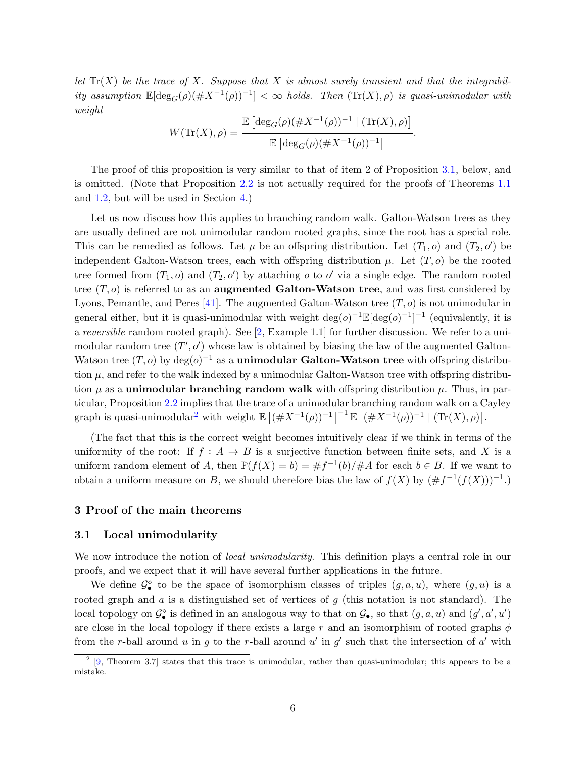let  $\text{Tr}(X)$  be the trace of X. Suppose that X is almost surely transient and that the integrability assumption  $\mathbb{E}[\deg_G(\rho)(\#X^{-1}(\rho))^{-1}] < \infty$  holds. Then  $(\text{Tr}(X), \rho)$  is quasi-unimodular with weight

$$
W(\text{Tr}(X), \rho) = \frac{\mathbb{E} [\deg_G(\rho)(\#X^{-1}(\rho))^{-1} | (\text{Tr}(X), \rho)]}{\mathbb{E} [\deg_G(\rho)(\#X^{-1}(\rho))^{-1}]}.
$$

The proof of this proposition is very similar to that of item 2 of Proposition [3.1,](#page-7-0) below, and is omitted. (Note that Proposition [2.2](#page-4-0) is not actually required for the proofs of Theorems [1.1](#page-2-0) and [1.2,](#page-2-1) but will be used in Section [4.](#page-16-0))

Let us now discuss how this applies to branching random walk. Galton-Watson trees as they are usually defined are not unimodular random rooted graphs, since the root has a special role. This can be remedied as follows. Let  $\mu$  be an offspring distribution. Let  $(T_1, o)$  and  $(T_2, o')$  be independent Galton-Watson trees, each with offspring distribution  $\mu$ . Let  $(T, o)$  be the rooted tree formed from  $(T_1, o)$  and  $(T_2, o')$  by attaching o to o' via a single edge. The random rooted tree  $(T, o)$  is referred to as an **augmented Galton-Watson tree**, and was first considered by Lyons, Pemantle, and Peres [\[41\]](#page-21-12). The augmented Galton-Watson tree  $(T, o)$  is not unimodular in general either, but it is quasi-unimodular with weight  $deg(o)^{-1}\mathbb{E}[deg(o)^{-1}]^{-1}$  (equivalently, it is a reversible random rooted graph). See [\[2,](#page-19-4) Example 1.1] for further discussion. We refer to a unimodular random tree  $(T', o')$  whose law is obtained by biasing the law of the augmented Galton-Watson tree  $(T, o)$  by  $deg(o)^{-1}$  as a **unimodular Galton-Watson tree** with offspring distribution  $\mu$ , and refer to the walk indexed by a unimodular Galton-Watson tree with offspring distribution  $\mu$  as a **unimodular branching random walk** with offspring distribution  $\mu$ . Thus, in particular, Proposition [2.2](#page-4-0) implies that the trace of a unimodular branching random walk on a Cayley graph is quasi-unimodular<sup>2</sup> with weight  $\mathbb{E} \left[ (\#X^{-1}(\rho))^{-1} \right]^{-1} \mathbb{E} \left[ (\#X^{-1}(\rho))^{-1} \mid (\text{Tr}(X), \rho) \right]$ .

(The fact that this is the correct weight becomes intuitively clear if we think in terms of the uniformity of the root: If  $f : A \to B$  is a surjective function between finite sets, and X is a uniform random element of A, then  $\mathbb{P}(f(X) = b) = \#f^{-1}(b)/\#A$  for each  $b \in B$ . If we want to obtain a uniform measure on B, we should therefore bias the law of  $f(X)$  by  $(\#f^{-1}(f(X)))^{-1}$ .

## <span id="page-5-0"></span>3 Proof of the main theorems

## 3.1 Local unimodularity

We now introduce the notion of *local unimodularity*. This definition plays a central role in our proofs, and we expect that it will have several further applications in the future.

We define  $\mathcal{G}_{\bullet}^{\diamond}$  to be the space of isomorphism classes of triples  $(g, a, u)$ , where  $(g, u)$  is a rooted graph and  $a$  is a distinguished set of vertices of  $g$  (this notation is not standard). The local topology on  $\mathcal{G}_{\bullet}^{\diamond}$  is defined in an analogous way to that on  $\mathcal{G}_{\bullet}$ , so that  $(g, a, u)$  and  $(g', a', u')$ are close in the local topology if there exists a large r and an isomorphism of rooted graphs  $\phi$ from the r-ball around u in g to the r-ball around  $u'$  in g' such that the intersection of a' with

 $2\left[9, \text{ Theorem } 3.7\right]$  $2\left[9, \text{ Theorem } 3.7\right]$  $2\left[9, \text{ Theorem } 3.7\right]$  states that this trace is unimodular, rather than quasi-unimodular; this appears to be a mistake.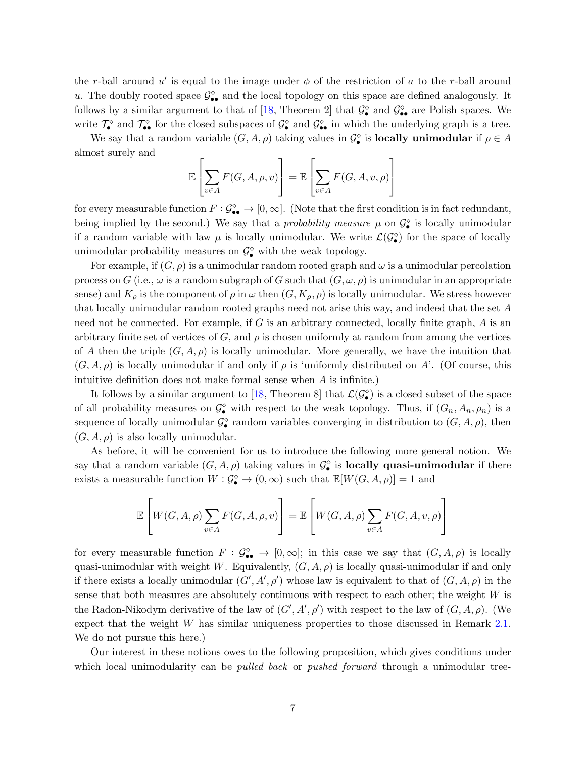the r-ball around u' is equal to the image under  $\phi$  of the restriction of a to the r-ball around u. The doubly rooted space  $\mathcal{G}^{\diamond}_{\bullet \bullet}$  and the local topology on this space are defined analogously. It follows by a similar argument to that of [\[18,](#page-20-17) Theorem 2] that  $\mathcal{G}_\bullet^\diamond$  and  $\mathcal{G}_\bullet^\diamond$  are Polish spaces. We write  $\mathcal{T}_{\bullet}^{\diamond}$  and  $\mathcal{T}_{\bullet}^{\diamond}$  for the closed subspaces of  $\mathcal{G}_{\bullet}^{\diamond}$  and  $\mathcal{G}_{\bullet}^{\diamond}$  in which the underlying graph is a tree.

We say that a random variable  $(G, A, \rho)$  taking values in  $\mathcal{G}_{\bullet}^{\diamond}$  is **locally unimodular** if  $\rho \in A$ almost surely and

$$
\mathbb{E}\left[\sum_{v\in A} F(G, A, \rho, v)\right] = \mathbb{E}\left[\sum_{v\in A} F(G, A, v, \rho)\right]
$$

for every measurable function  $F: \mathcal{G}_{\bullet}^{\diamond} \to [0, \infty]$ . (Note that the first condition is in fact redundant, being implied by the second.) We say that a *probability measure*  $\mu$  on  $\mathcal{G}_{\bullet}^{\diamond}$  is locally unimodular if a random variable with law  $\mu$  is locally unimodular. We write  $\mathcal{L}(\mathcal{G}_\bullet^{\circ})$  for the space of locally unimodular probability measures on  $\mathcal{G}_{\bullet}^{\diamond}$  with the weak topology.

For example, if  $(G, \rho)$  is a unimodular random rooted graph and  $\omega$  is a unimodular percolation process on G (i.e.,  $\omega$  is a random subgraph of G such that  $(G, \omega, \rho)$  is unimodular in an appropriate sense) and  $K_{\rho}$  is the component of  $\rho$  in  $\omega$  then  $(G, K_{\rho}, \rho)$  is locally unimodular. We stress however that locally unimodular random rooted graphs need not arise this way, and indeed that the set A need not be connected. For example, if  $G$  is an arbitrary connected, locally finite graph,  $A$  is an arbitrary finite set of vertices of G, and  $\rho$  is chosen uniformly at random from among the vertices of A then the triple  $(G, A, \rho)$  is locally unimodular. More generally, we have the intuition that  $(G, A, \rho)$  is locally unimodular if and only if  $\rho$  is 'uniformly distributed on A'. (Of course, this intuitive definition does not make formal sense when A is infinite.)

It follows by a similar argument to [\[18,](#page-20-17) Theorem 8] that  $\mathcal{L}(\mathcal{G}_\bullet^{\diamond})$  is a closed subset of the space of all probability measures on  $\mathcal{G}_{\bullet}^{\diamond}$  with respect to the weak topology. Thus, if  $(G_n, A_n, \rho_n)$  is a sequence of locally unimodular  $\mathcal{G}_{\bullet}^{\diamond}$  random variables converging in distribution to  $(G, A, \rho)$ , then  $(G, A, \rho)$  is also locally unimodular.

As before, it will be convenient for us to introduce the following more general notion. We say that a random variable  $(G, A, \rho)$  taking values in  $\mathcal{G}_{\bullet}^{\diamond}$  is **locally quasi-unimodular** if there exists a measurable function  $W: \mathcal{G}_\bullet^\diamond \to (0, \infty)$  such that  $\mathbb{E}[W(G, A, \rho)] = 1$  and

$$
\mathbb{E}\left[W(G,A,\rho)\sum_{v\in A}F(G,A,\rho,v)\right]=\mathbb{E}\left[W(G,A,\rho)\sum_{v\in A}F(G,A,v,\rho)\right]
$$

for every measurable function  $F: \mathcal{G}_{\bullet}^{\diamond} \to [0, \infty]$ ; in this case we say that  $(G, A, \rho)$  is locally quasi-unimodular with weight W. Equivalently,  $(G, A, \rho)$  is locally quasi-unimodular if and only if there exists a locally unimodular  $(G', A', \rho')$  whose law is equivalent to that of  $(G, A, \rho)$  in the sense that both measures are absolutely continuous with respect to each other; the weight  $W$  is the Radon-Nikodym derivative of the law of  $(G', A', \rho')$  with respect to the law of  $(G, A, \rho)$ . (We expect that the weight W has similar uniqueness properties to those discussed in Remark [2.1.](#page-4-1) We do not pursue this here.)

Our interest in these notions owes to the following proposition, which gives conditions under which local unimodularity can be *pulled back* or *pushed forward* through a unimodular tree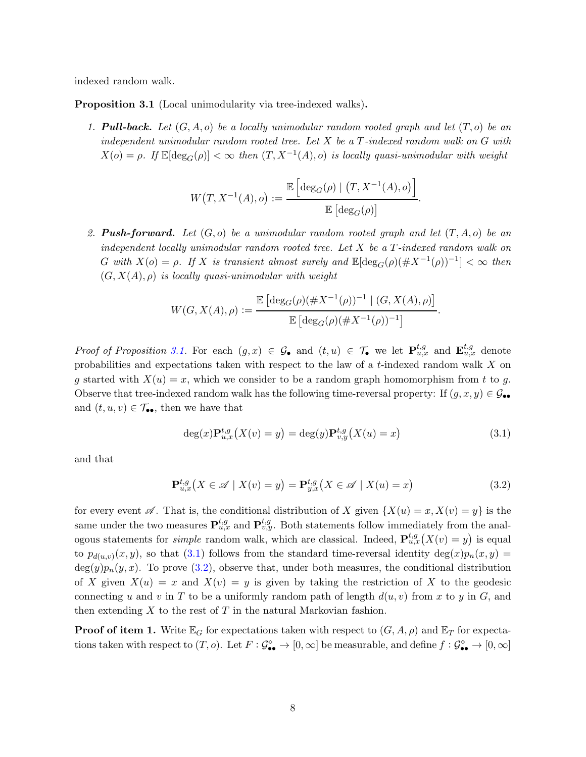<span id="page-7-0"></span>indexed random walk.

Proposition 3.1 (Local unimodularity via tree-indexed walks).

1. **Pull-back.** Let  $(G, A, o)$  be a locally unimodular random rooted graph and let  $(T, o)$  be an independent unimodular random rooted tree. Let  $X$  be a  $T$ -indexed random walk on  $G$  with  $X(o) = \rho$ . If  $\mathbb{E}[\deg_G(\rho)] < \infty$  then  $(T, X^{-1}(A), o)$  is locally quasi-unimodular with weight

$$
W(T, X^{-1}(A), o) := \frac{\mathbb{E}\left[\deg_G(\rho) \mid (T, X^{-1}(A), o)\right]}{\mathbb{E}\left[\deg_G(\rho)\right]}.
$$

2. **Push-forward.** Let  $(G, o)$  be a unimodular random rooted graph and let  $(T, A, o)$  be an independent locally unimodular random rooted tree. Let  $X$  be a  $T$ -indexed random walk on G with  $X(o) = \rho$ . If X is transient almost surely and  $\mathbb{E}[\deg_G(\rho)(\#X^{-1}(\rho))^{-1}] < \infty$  then  $(G, X(A), \rho)$  is locally quasi-unimodular with weight

$$
W(G, X(A), \rho) := \frac{\mathbb{E} \left[ \deg_G(\rho) (\# X^{-1}(\rho))^{-1} \mid (G, X(A), \rho) \right]}{\mathbb{E} \left[ \deg_G(\rho) (\# X^{-1}(\rho))^{-1} \right]}.
$$

Proof of Proposition [3.1.](#page-7-0) For each  $(g, x) \in \mathcal{G}_{\bullet}$  and  $(t, u) \in \mathcal{T}_{\bullet}$  we let  $\mathbf{P}_{u,x}^{t,g}$  and  $\mathbf{E}_{u,x}^{t,g}$  denote probabilities and expectations taken with respect to the law of a t-indexed random walk X on g started with  $X(u) = x$ , which we consider to be a random graph homomorphism from t to g. Observe that tree-indexed random walk has the following time-reversal property: If  $(g, x, y) \in \mathcal{G}_{\bullet\bullet}$ and  $(t, u, v) \in \mathcal{T}_{\bullet \bullet}$ , then we have that

<span id="page-7-2"></span><span id="page-7-1"></span>
$$
\deg(x) \mathbf{P}_{u,x}^{t,g}(X(v) = y) = \deg(y) \mathbf{P}_{v,y}^{t,g}(X(u) = x)
$$
\n(3.1)

and that

$$
\mathbf{P}_{u,x}^{t,g}(X \in \mathscr{A} \mid X(v) = y) = \mathbf{P}_{y,x}^{t,g}(X \in \mathscr{A} \mid X(u) = x)
$$
\n(3.2)

for every event  $\mathscr A$ . That is, the conditional distribution of X given  $\{X(u) = x, X(v) = y\}$  is the same under the two measures  $\mathbf{P}_{u,x}^{t,g}$  and  $\mathbf{P}_{v,y}^{t,g}$ . Both statements follow immediately from the analogous statements for *simple* random walk, which are classical. Indeed,  $\mathbf{P}_{u,x}^{t,g}(X(v) = y)$  is equal to  $p_{d(u,v)}(x,y)$ , so that [\(3.1\)](#page-7-1) follows from the standard time-reversal identity deg $(x)p_n(x,y)$  $\deg(y)p_n(y, x)$ . To prove [\(3.2\)](#page-7-2), observe that, under both measures, the conditional distribution of X given  $X(u) = x$  and  $X(v) = y$  is given by taking the restriction of X to the geodesic connecting u and v in T to be a uniformly random path of length  $d(u, v)$  from x to y in G, and then extending  $X$  to the rest of  $T$  in the natural Markovian fashion.

**Proof of item 1.** Write  $\mathbb{E}_G$  for expectations taken with respect to  $(G, A, \rho)$  and  $\mathbb{E}_T$  for expectations taken with respect to  $(T, o)$ . Let  $F : \mathcal{G}_{\bullet \bullet}^{\diamond} \to [0, \infty]$  be measurable, and define  $f : \mathcal{G}_{\bullet \bullet}^{\diamond} \to [0, \infty]$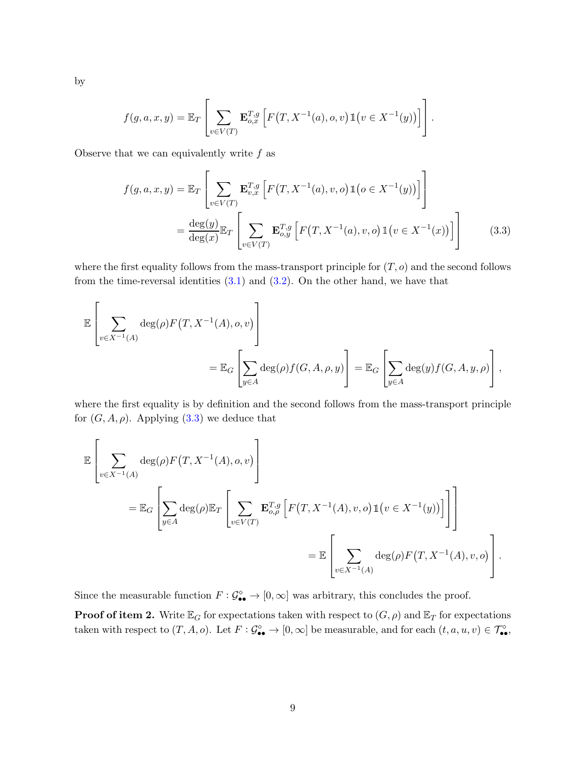$$
f(g,a,x,y) = \mathbb{E}_T \left[ \sum_{v \in V(T)} \mathbf{E}_{o,x}^{T,g} \left[ F(T, X^{-1}(a), o, v) \mathbb{1}(v \in X^{-1}(y)) \right] \right].
$$

Observe that we can equivalently write  $f$  as

<span id="page-8-0"></span>
$$
f(g, a, x, y) = \mathbb{E}_{T} \left[ \sum_{v \in V(T)} \mathbf{E}_{v,x}^{T,g} \left[ F(T, X^{-1}(a), v, o) \mathbb{1}(o \in X^{-1}(y)) \right] \right]
$$
  
= 
$$
\frac{\deg(y)}{\deg(x)} \mathbb{E}_{T} \left[ \sum_{v \in V(T)} \mathbf{E}_{o,y}^{T,g} \left[ F(T, X^{-1}(a), v, o) \mathbb{1}(v \in X^{-1}(x)) \right] \right]
$$
(3.3)

where the first equality follows from the mass-transport principle for  $(T, o)$  and the second follows from the time-reversal identities  $(3.1)$  and  $(3.2)$ . On the other hand, we have that

$$
\mathbb{E}\left[\sum_{v\in X^{-1}(A)}\deg(\rho)F(T, X^{-1}(A), o, v)\right]
$$
  
= 
$$
\mathbb{E}_G\left[\sum_{y\in A}\deg(\rho)f(G, A, \rho, y)\right] = \mathbb{E}_G\left[\sum_{y\in A}\deg(y)f(G, A, y, \rho)\right],
$$

where the first equality is by definition and the second follows from the mass-transport principle for  $(G, A, \rho)$ . Applying  $(3.3)$  we deduce that

$$
\mathbb{E}\left[\sum_{v\in X^{-1}(A)}\deg(\rho)F(T, X^{-1}(A), o, v)\right]
$$
  
\n
$$
= \mathbb{E}_G\left[\sum_{y\in A}\deg(\rho)\mathbb{E}_T\left[\sum_{v\in V(T)}\mathbf{E}_{o,\rho}^{T,g}\left[F(T, X^{-1}(A), v, o)\mathbb{1}(v \in X^{-1}(y))\right]\right]\right]
$$
  
\n
$$
= \mathbb{E}\left[\sum_{v\in X^{-1}(A)}\deg(\rho)F(T, X^{-1}(A), v, o)\right].
$$

Since the measurable function  $F: \mathcal{G}_{\bullet\bullet}^{\diamond} \to [0, \infty]$  was arbitrary, this concludes the proof.

**Proof of item 2.** Write  $\mathbb{E}_G$  for expectations taken with respect to  $(G, \rho)$  and  $\mathbb{E}_T$  for expectations taken with respect to  $(T, A, o)$ . Let  $F: \mathcal{G}_{\bullet \bullet}^{\diamond} \to [0, \infty]$  be measurable, and for each  $(t, a, u, v) \in \mathcal{T}_{\bullet \bullet}^{\diamond}$ ,

by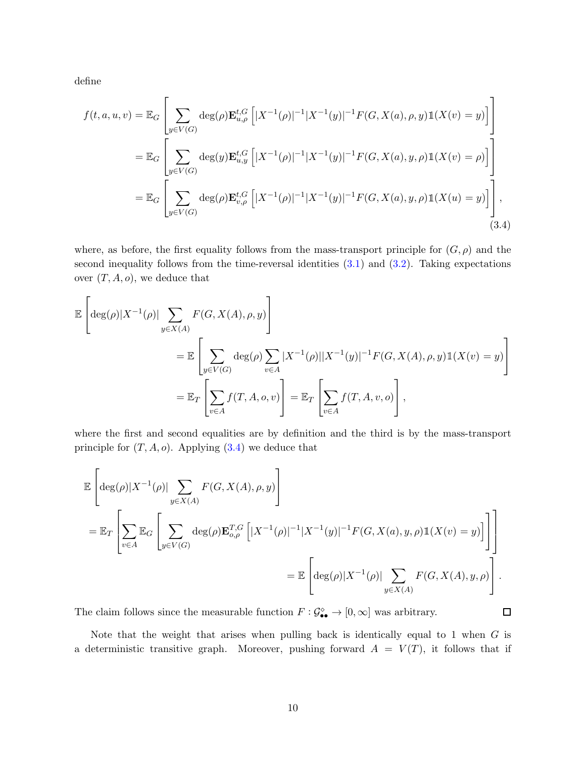define

$$
f(t, a, u, v) = \mathbb{E}_G \left[ \sum_{y \in V(G)} \deg(\rho) \mathbf{E}_{u, \rho}^{t, G} \left[ |X^{-1}(\rho)|^{-1} |X^{-1}(y)|^{-1} F(G, X(a), \rho, y) \mathbb{1}(X(v) = y) \right] \right]
$$
  
\n
$$
= \mathbb{E}_G \left[ \sum_{y \in V(G)} \deg(y) \mathbf{E}_{u, y}^{t, G} \left[ |X^{-1}(\rho)|^{-1} |X^{-1}(y)|^{-1} F(G, X(a), y, \rho) \mathbb{1}(X(v) = \rho) \right] \right]
$$
  
\n
$$
= \mathbb{E}_G \left[ \sum_{y \in V(G)} \deg(\rho) \mathbf{E}_{v, \rho}^{t, G} \left[ |X^{-1}(\rho)|^{-1} |X^{-1}(y)|^{-1} F(G, X(a), y, \rho) \mathbb{1}(X(u) = y) \right] \right],
$$
  
\n(3.4)

where, as before, the first equality follows from the mass-transport principle for  $(G, \rho)$  and the second inequality follows from the time-reversal identities  $(3.1)$  and  $(3.2)$ . Taking expectations over  $(T, A, o)$ , we deduce that

$$
\mathbb{E}\left[\deg(\rho)|X^{-1}(\rho)|\sum_{y\in X(A)}F(G,X(A),\rho,y)\right]
$$
  
= 
$$
\mathbb{E}\left[\sum_{y\in V(G)}\deg(\rho)\sum_{v\in A}|X^{-1}(\rho)||X^{-1}(y)|^{-1}F(G,X(A),\rho,y)\mathbb{1}(X(v)=y)\right]
$$
  
= 
$$
\mathbb{E}_T\left[\sum_{v\in A}f(T,A,o,v)\right] = \mathbb{E}_T\left[\sum_{v\in A}f(T,A,v,o)\right],
$$

where the first and second equalities are by definition and the third is by the mass-transport principle for  $(T, A, o)$ . Applying  $(3.4)$  we deduce that

$$
\mathbb{E}\left[\deg(\rho)|X^{-1}(\rho)|\sum_{y\in X(A)}F(G,X(A),\rho,y)\right]
$$
  
\n
$$
=\mathbb{E}_T\left[\sum_{v\in A}\mathbb{E}_G\left[\sum_{y\in V(G)}\deg(\rho)\mathbf{E}_{o,\rho}^{T,G}\left[|X^{-1}(\rho)|^{-1}|X^{-1}(y)|^{-1}F(G,X(a),y,\rho)\mathbb{1}(X(v)=y)\right]\right]\right]
$$
  
\n
$$
=\mathbb{E}\left[\deg(\rho)|X^{-1}(\rho)|\sum_{y\in X(A)}F(G,X(A),y,\rho)\right].
$$

The claim follows since the measurable function  $F: \mathcal{G}_{\bullet}^{\diamond} \to [0, \infty]$  was arbitrary.

Note that the weight that arises when pulling back is identically equal to  $1$  when  $G$  is a deterministic transitive graph. Moreover, pushing forward  $A = V(T)$ , it follows that if

<span id="page-9-0"></span> $\Box$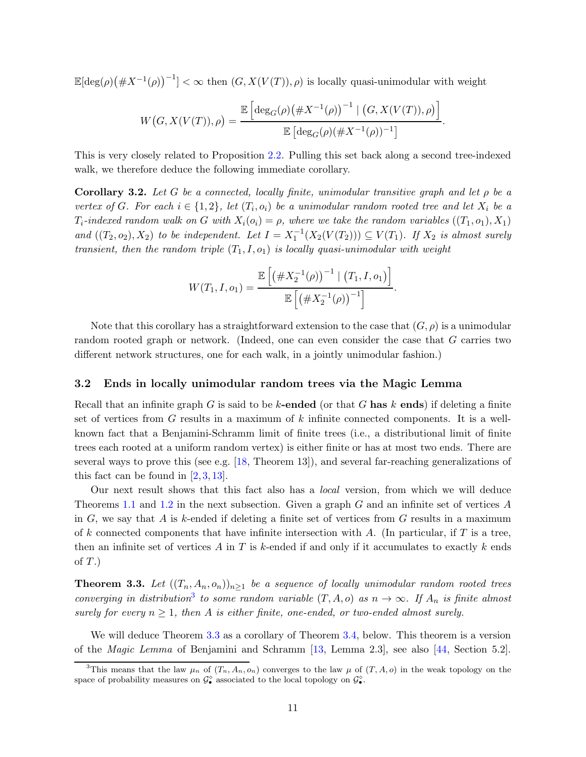$\mathbb{E}[\deg(\rho)(\#X^{-1}(\rho))^{-1}]<\infty$  then  $(G,X(V(T)),\rho)$  is locally quasi-unimodular with weight

$$
W(G, X(V(T)), \rho) = \frac{\mathbb{E}\left[\deg_G(\rho) \big(\#X^{-1}(\rho)\big)^{-1} \mid (G, X(V(T)), \rho)\right]}{\mathbb{E}\left[\deg_G(\rho) \big(\#X^{-1}(\rho)\big)^{-1}\right]}
$$

.

<span id="page-10-1"></span>This is very closely related to Proposition [2.2.](#page-4-0) Pulling this set back along a second tree-indexed walk, we therefore deduce the following immediate corollary.

**Corollary 3.2.** Let G be a connected, locally finite, unimodular transitive graph and let  $\rho$  be a vertex of G. For each  $i \in \{1,2\}$ , let  $(T_i, o_i)$  be a unimodular random rooted tree and let  $X_i$  be a  $T_i$ -indexed random walk on G with  $X_i(o_i) = \rho$ , where we take the random variables  $((T_1, o_1), X_1)$ and  $((T_2, o_2), X_2)$  to be independent. Let  $I = X_1^{-1}(X_2(V(T_2))) \subseteq V(T_1)$ . If  $X_2$  is almost surely transient, then the random triple  $(T_1, I, o_1)$  is locally quasi-unimodular with weight

$$
W(T_1, I, o_1) = \frac{\mathbb{E}\left[\left(\#X_2^{-1}(\rho)\right)^{-1} | (T_1, I, o_1)\right]}{\mathbb{E}\left[\left(\#X_2^{-1}(\rho)\right)^{-1}\right]}.
$$

Note that this corollary has a straightforward extension to the case that  $(G, \rho)$  is a unimodular random rooted graph or network. (Indeed, one can even consider the case that G carries two different network structures, one for each walk, in a jointly unimodular fashion.)

# 3.2 Ends in locally unimodular random trees via the Magic Lemma

Recall that an infinite graph G is said to be k-ended (or that G has k ends) if deleting a finite set of vertices from G results in a maximum of k infinite connected components. It is a wellknown fact that a Benjamini-Schramm limit of finite trees (i.e., a distributional limit of finite trees each rooted at a uniform random vertex) is either finite or has at most two ends. There are several ways to prove this (see e.g. [\[18,](#page-20-17) Theorem 13]), and several far-reaching generalizations of this fact can be found in  $[2, 3, 13]$  $[2, 3, 13]$  $[2, 3, 13]$  $[2, 3, 13]$ .

Our next result shows that this fact also has a local version, from which we will deduce Theorems [1.1](#page-2-0) and [1.2](#page-2-1) in the next subsection. Given a graph  $G$  and an infinite set of vertices  $A$ in  $G$ , we say that  $A$  is k-ended if deleting a finite set of vertices from  $G$  results in a maximum of k connected components that have infinite intersection with A. (In particular, if  $T$  is a tree, then an infinite set of vertices A in T is k-ended if and only if it accumulates to exactly k ends of  $T$ .)

<span id="page-10-0"></span>**Theorem 3.3.** Let  $((T_n, A_n, o_n))_{n\geq 1}$  be a sequence of locally unimodular random rooted trees converging in distribution<sup>3</sup> to some random variable  $(T, A, o)$  as  $n \to \infty$ . If  $A_n$  is finite almost surely for every  $n \geq 1$ , then A is either finite, one-ended, or two-ended almost surely.

We will deduce Theorem [3.3](#page-10-0) as a corollary of Theorem [3.4,](#page-11-0) below. This theorem is a version of the Magic Lemma of Benjamini and Schramm [\[13,](#page-20-16) Lemma 2.3], see also [\[44,](#page-21-13) Section 5.2].

<sup>&</sup>lt;sup>3</sup>This means that the law  $\mu_n$  of  $(T_n, A_n, o_n)$  converges to the law  $\mu$  of  $(T, A, o)$  in the weak topology on the space of probability measures on  $\mathcal{G}_{\bullet}^{\diamond}$  associated to the local topology on  $\mathcal{G}_{\bullet}^{\diamond}$ .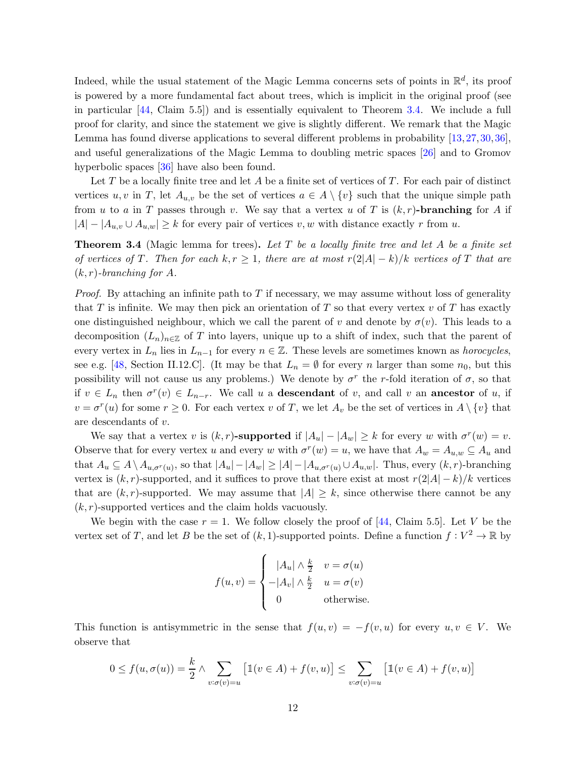Indeed, while the usual statement of the Magic Lemma concerns sets of points in  $\mathbb{R}^d$ , its proof is powered by a more fundamental fact about trees, which is implicit in the original proof (see in particular [\[44,](#page-21-13) Claim 5.5]) and is essentially equivalent to Theorem [3.4.](#page-11-0) We include a full proof for clarity, and since the statement we give is slightly different. We remark that the Magic Lemma has found diverse applications to several different problems in probability [\[13,](#page-20-16)[27,](#page-20-20)[30,](#page-20-21)[36\]](#page-21-5), and useful generalizations of the Magic Lemma to doubling metric spaces [\[26\]](#page-20-22) and to Gromov hyperbolic spaces [\[36\]](#page-21-5) have also been found.

Let T be a locally finite tree and let A be a finite set of vertices of T. For each pair of distinct vertices u, v in T, let  $A_{u,v}$  be the set of vertices  $a \in A \setminus \{v\}$  such that the unique simple path from u to a in T passes through v. We say that a vertex u of T is  $(k, r)$ -branching for A if  $|A| - |A_{u,v} \cup A_{u,w}| \geq k$  for every pair of vertices v, w with distance exactly r from u.

<span id="page-11-0"></span>**Theorem 3.4** (Magic lemma for trees). Let T be a locally finite tree and let A be a finite set of vertices of T. Then for each  $k, r \geq 1$ , there are at most  $r(2|A|-k)/k$  vertices of T that are  $(k, r)$ -branching for A.

*Proof.* By attaching an infinite path to T if necessary, we may assume without loss of generality that T is infinite. We may then pick an orientation of T so that every vertex  $v$  of T has exactly one distinguished neighbour, which we call the parent of v and denote by  $\sigma(v)$ . This leads to a decomposition  $(L_n)_{n\in\mathbb{Z}}$  of T into layers, unique up to a shift of index, such that the parent of every vertex in  $L_n$  lies in  $L_{n-1}$  for every  $n \in \mathbb{Z}$ . These levels are sometimes known as *horocycles*, see e.g. [\[48,](#page-21-4) Section II.12.C]. (It may be that  $L_n = \emptyset$  for every n larger than some  $n_0$ , but this possibility will not cause us any problems.) We denote by  $\sigma^r$  the r-fold iteration of  $\sigma$ , so that if  $v \in L_n$  then  $\sigma^r(v) \in L_{n-r}$ . We call u a **descendant** of v, and call v an **ancestor** of u, if  $v = \sigma^r(u)$  for some  $r \geq 0$ . For each vertex v of T, we let  $A_v$  be the set of vertices in  $A \setminus \{v\}$  that are descendants of v.

We say that a vertex v is  $(k, r)$ -supported if  $|A_u| - |A_w| \ge k$  for every w with  $\sigma^r(w) = v$ . Observe that for every vertex u and every w with  $\sigma^r(w) = u$ , we have that  $A_w = A_{u,w} \subseteq A_u$  and that  $A_u \subseteq A \setminus A_{u,\sigma^r(u)}$ , so that  $|A_u| - |A_w| \geq |A| - |A_{u,\sigma^r(u)} \cup A_{u,w}|$ . Thus, every  $(k,r)$ -branching vertex is  $(k, r)$ -supported, and it suffices to prove that there exist at most  $r(2|A|-k)/k$  vertices that are  $(k, r)$ -supported. We may assume that  $|A| \geq k$ , since otherwise there cannot be any  $(k, r)$ -supported vertices and the claim holds vacuously.

We begin with the case  $r = 1$ . We follow closely the proof of [\[44,](#page-21-13) Claim 5.5]. Let V be the vertex set of T, and let B be the set of  $(k,1)$ -supported points. Define a function  $f: V^2 \to \mathbb{R}$  by

$$
f(u,v) = \begin{cases} |A_u| \wedge \frac{k}{2} & v = \sigma(u) \\ -|A_v| \wedge \frac{k}{2} & u = \sigma(v) \\ 0 & \text{otherwise.} \end{cases}
$$

This function is antisymmetric in the sense that  $f(u, v) = -f(v, u)$  for every  $u, v \in V$ . We observe that

$$
0 \le f(u, \sigma(u)) = \frac{k}{2} \wedge \sum_{v : \sigma(v) = u} \left[ \mathbb{1}(v \in A) + f(v, u) \right] \le \sum_{v : \sigma(v) = u} \left[ \mathbb{1}(v \in A) + f(v, u) \right]
$$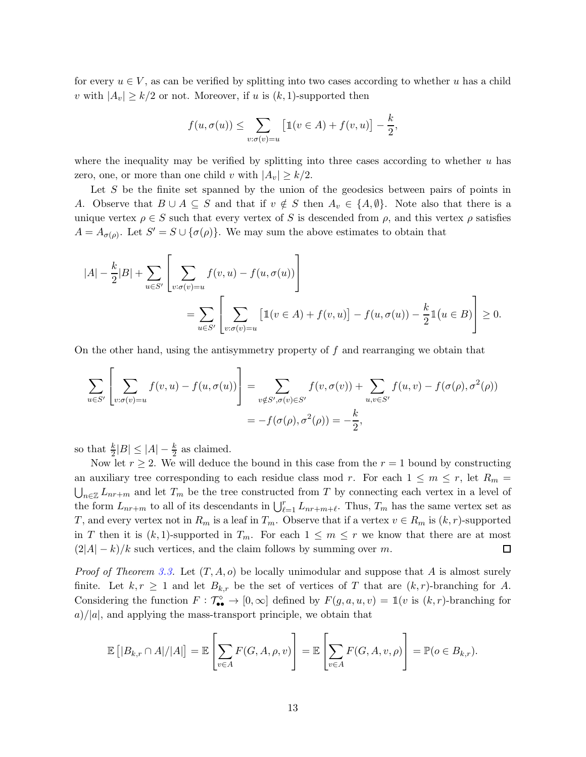for every  $u \in V$ , as can be verified by splitting into two cases according to whether u has a child v with  $|A_v| \geq k/2$  or not. Moreover, if u is  $(k, 1)$ -supported then

$$
f(u, \sigma(u)) \le \sum_{v: \sigma(v)=u} \left[ \mathbb{1}(v \in A) + f(v, u) \right] - \frac{k}{2},
$$

where the inequality may be verified by splitting into three cases according to whether  $u$  has zero, one, or more than one child v with  $|A_v| \geq k/2$ .

Let S be the finite set spanned by the union of the geodesics between pairs of points in A. Observe that  $B \cup A \subseteq S$  and that if  $v \notin S$  then  $A_v \in \{A, \emptyset\}$ . Note also that there is a unique vertex  $\rho \in S$  such that every vertex of S is descended from  $\rho$ , and this vertex  $\rho$  satisfies  $A = A_{\sigma(\rho)}$ . Let  $S' = S \cup {\{\sigma(\rho)\}}$ . We may sum the above estimates to obtain that

$$
|A| - \frac{k}{2}|B| + \sum_{u \in S'} \left[ \sum_{v : \sigma(v) = u} f(v, u) - f(u, \sigma(u)) \right]
$$
  
= 
$$
\sum_{u \in S'} \left[ \sum_{v : \sigma(v) = u} \left[ \mathbb{1}(v \in A) + f(v, u) \right] - f(u, \sigma(u)) - \frac{k}{2} \mathbb{1}(u \in B) \right] \ge 0.
$$

On the other hand, using the antisymmetry property of f and rearranging we obtain that

$$
\sum_{u \in S'} \left[ \sum_{v : \sigma(v) = u} f(v, u) - f(u, \sigma(u)) \right] = \sum_{v \notin S', \sigma(v) \in S'} f(v, \sigma(v)) + \sum_{u, v \in S'} f(u, v) - f(\sigma(\rho), \sigma^2(\rho))
$$
  
=  $-f(\sigma(\rho), \sigma^2(\rho)) = -\frac{k}{2}$ ,

so that  $\frac{k}{2}|B| \leq |A| - \frac{k}{2}$  as claimed.

Now let  $r \geq 2$ . We will deduce the bound in this case from the  $r = 1$  bound by constructing an auxiliary tree corresponding to each residue class mod r. For each  $1 \leq m \leq r$ , let  $R_m =$  $\bigcup_{n\in\mathbb{Z}}L_{nr+m}$  and let  $T_m$  be the tree constructed from T by connecting each vertex in a level of the form  $L_{nr+m}$  to all of its descendants in  $\bigcup_{\ell=1}^{r} L_{nr+m+\ell}$ . Thus,  $T_m$  has the same vertex set as T, and every vertex not in  $R_m$  is a leaf in  $T_m$ . Observe that if a vertex  $v \in R_m$  is  $(k, r)$ -supported in T then it is  $(k, 1)$ -supported in  $T_m$ . For each  $1 \leq m \leq r$  we know that there are at most  $\Box$  $(2|A|-k)/k$  such vertices, and the claim follows by summing over m.

*Proof of Theorem [3.3.](#page-10-0)* Let  $(T, A, o)$  be locally unimodular and suppose that A is almost surely finite. Let  $k, r \geq 1$  and let  $B_{k,r}$  be the set of vertices of T that are  $(k, r)$ -branching for A. Considering the function  $F: \mathcal{T}_{\bullet}^{\diamond} \to [0, \infty]$  defined by  $F(g, a, u, v) = \mathbb{1}(v \text{ is } (k, r)$ -branching for  $a)/|a|$ , and applying the mass-transport principle, we obtain that

$$
\mathbb{E}\left[|B_{k,r}\cap A|/|A|\right] = \mathbb{E}\left[\sum_{v\in A} F(G,A,\rho,v)\right] = \mathbb{E}\left[\sum_{v\in A} F(G,A,v,\rho)\right] = \mathbb{P}(o\in B_{k,r}).
$$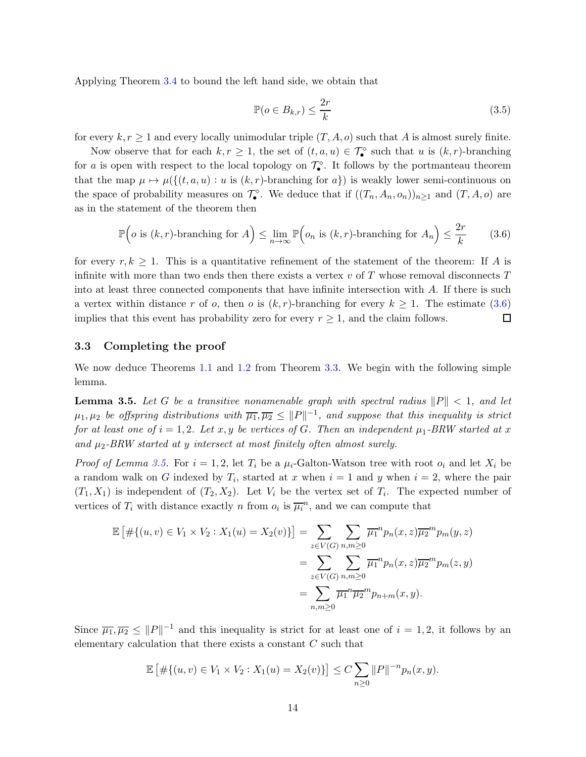Applying Theorem [3.4](#page-11-0) to bound the left hand side, we obtain that

$$
\mathbb{P}(o \in B_{k,r}) \le \frac{2r}{k} \tag{3.5}
$$

for every  $k, r \geq 1$  and every locally unimodular triple  $(T, A, o)$  such that A is almost surely finite.

Now observe that for each  $k, r \geq 1$ , the set of  $(t, a, u) \in \mathcal{T}_{\bullet}^{\diamond}$  such that u is  $(k, r)$ -branching for a is open with respect to the local topology on  $\mathcal{T}_{\bullet}^{\diamond}$ . It follows by the portmanteau theorem that the map  $\mu \mapsto \mu({(t, a, u) : u \text{ is } (k, r)$ -branching for  $a)$  is weakly lower semi-continuous on the space of probability measures on  $\mathcal{T}_{\bullet}^{\diamond}$ . We deduce that if  $((T_n, A_n, o_n))_{n\geq 1}$  and  $(T, A, o)$  are as in the statement of the theorem then

<span id="page-13-1"></span>
$$
\mathbb{P}\Big(o \text{ is } (k,r)\text{-branching for } A\Big) \le \lim_{n\to\infty} \mathbb{P}\Big(o_n \text{ is } (k,r)\text{-branching for } A_n\Big) \le \frac{2r}{k} \tag{3.6}
$$

for every  $r, k \geq 1$ . This is a quantitative refinement of the statement of the theorem: If A is infinite with more than two ends then there exists a vertex  $v$  of  $T$  whose removal disconnects  $T$ into at least three connected components that have infinite intersection with A. If there is such a vertex within distance r of o, then o is  $(k, r)$ -branching for every  $k \geq 1$ . The estimate [\(3.6\)](#page-13-1) implies that this event has probability zero for every  $r \geq 1$ , and the claim follows.  $\Box$ 

## 3.3 Completing the proof

<span id="page-13-0"></span>We now deduce Theorems [1.1](#page-2-0) and [1.2](#page-2-1) from Theorem [3.3.](#page-10-0) We begin with the following simple lemma.

**Lemma 3.5.** Let G be a transitive nonamenable graph with spectral radius  $||P|| < 1$ , and let  $\mu_1, \mu_2$  be offspring distributions with  $\overline{\mu_1}, \overline{\mu_2} \leq ||P||^{-1}$ , and suppose that this inequality is strict for at least one of  $i = 1, 2$ . Let x, y be vertices of G. Then an independent  $\mu_1$ -BRW started at x and  $\mu_2$ -BRW started at y intersect at most finitely often almost surely.

*Proof of Lemma [3.5.](#page-13-0)* For  $i = 1, 2$ , let  $T_i$  be a  $\mu_i$ -Galton-Watson tree with root  $o_i$  and let  $X_i$  be a random walk on G indexed by  $T_i$ , started at x when  $i = 1$  and y when  $i = 2$ , where the pair  $(T_1, X_1)$  is independent of  $(T_2, X_2)$ . Let  $V_i$  be the vertex set of  $T_i$ . The expected number of vertices of  $T_i$  with distance exactly n from  $o_i$  is  $\overline{\mu_i}^n$ , and we can compute that

$$
\mathbb{E}\left[\#\{(u,v)\in V_1\times V_2:X_1(u)=X_2(v)\}\right] = \sum_{z\in V(G)}\sum_{n,m\geq 0} \overline{\mu_1}^n p_n(x,z) \overline{\mu_2}^m p_m(y,z)
$$

$$
= \sum_{z\in V(G)}\sum_{n,m\geq 0} \overline{\mu_1}^n p_n(x,z) \overline{\mu_2}^m p_m(z,y)
$$

$$
= \sum_{n,m\geq 0} \overline{\mu_1}^n \overline{\mu_2}^m p_{n+m}(x,y).
$$

Since  $\overline{\mu_1}, \overline{\mu_2} \leq ||P||^{-1}$  and this inequality is strict for at least one of  $i = 1, 2$ , it follows by an elementary calculation that there exists a constant C such that

$$
\mathbb{E}\left[\#\{(u,v)\in V_1\times V_2:X_1(u)=X_2(v)\}\right]\leq C\sum_{n\geq 0}\|P\|^{-n}p_n(x,y).
$$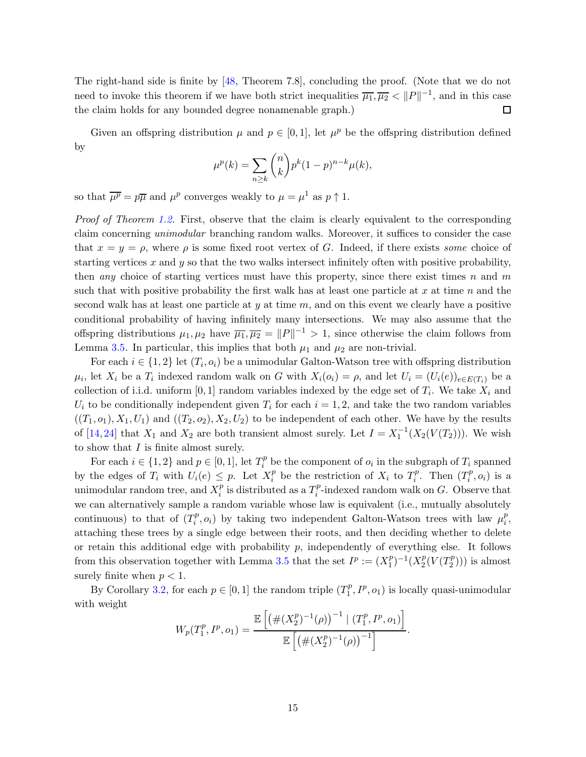The right-hand side is finite by [\[48,](#page-21-4) Theorem 7.8], concluding the proof. (Note that we do not need to invoke this theorem if we have both strict inequalities  $\overline{\mu_1}, \overline{\mu_2} < ||P||^{-1}$ , and in this case the claim holds for any bounded degree nonamenable graph.)  $\Box$ 

Given an offspring distribution  $\mu$  and  $p \in [0,1]$ , let  $\mu^p$  be the offspring distribution defined by

$$
\mu^p(k) = \sum_{n \ge k} \binom{n}{k} p^k (1-p)^{n-k} \mu(k),
$$

so that  $\overline{\mu^p} = p\overline{\mu}$  and  $\mu^p$  converges weakly to  $\mu = \mu^1$  as  $p \uparrow 1$ .

Proof of Theorem [1.2.](#page-2-1) First, observe that the claim is clearly equivalent to the corresponding claim concerning *unimodular* branching random walks. Moreover, it suffices to consider the case that  $x = y = \rho$ , where  $\rho$  is some fixed root vertex of G. Indeed, if there exists some choice of starting vertices x and y so that the two walks intersect infinitely often with positive probability, then *any* choice of starting vertices must have this property, since there exist times n and m such that with positive probability the first walk has at least one particle at  $x$  at time  $n$  and the second walk has at least one particle at  $y$  at time  $m$ , and on this event we clearly have a positive conditional probability of having infinitely many intersections. We may also assume that the offspring distributions  $\mu_1, \mu_2$  have  $\overline{\mu_1}, \overline{\mu_2} = ||P||^{-1} > 1$ , since otherwise the claim follows from Lemma [3.5.](#page-13-0) In particular, this implies that both  $\mu_1$  and  $\mu_2$  are non-trivial.

For each  $i \in \{1,2\}$  let  $(T_i, o_i)$  be a unimodular Galton-Watson tree with offspring distribution  $\mu_i$ , let  $X_i$  be a  $T_i$  indexed random walk on G with  $X_i(o_i) = \rho$ , and let  $U_i = (U_i(e))_{e \in E(T_i)}$  be a collection of i.i.d. uniform [0, 1] random variables indexed by the edge set of  $T_i$ . We take  $X_i$  and  $U_i$  to be conditionally independent given  $T_i$  for each  $i = 1, 2$ , and take the two random variables  $((T_1, o_1), X_1, U_1)$  and  $((T_2, o_2), X_2, U_2)$  to be independent of each other. We have by the results of [\[14,](#page-20-4)[24\]](#page-20-5) that  $X_1$  and  $X_2$  are both transient almost surely. Let  $I = X_1^{-1}(X_2(V(T_2)))$ . We wish to show that I is finite almost surely.

For each  $i \in \{1, 2\}$  and  $p \in [0, 1]$ , let  $T_i^p$  $i^p$  be the component of  $o_i$  in the subgraph of  $T_i$  spanned by the edges of  $T_i$  with  $U_i(e) \leq p$ . Let  $X_i^p$  $i$ <sup>p</sup> be the restriction of  $X_i$  to  $T_i^p$  $T_i^p$ . Then  $(T_i^p)$  $i^p, o_i)$  is a unimodular random tree, and  $X_i^p$  $\frac{p}{i}$  is distributed as a  $T_i^p$  $i<sup>p</sup>$ -indexed random walk on G. Observe that we can alternatively sample a random variable whose law is equivalent (i.e., mutually absolutely continuous) to that of  $(T_i^p)$  $\hat{u}_i^p$ ,  $o_i$ ) by taking two independent Galton-Watson trees with law  $\mu_i^p$  $_i^p,$ attaching these trees by a single edge between their roots, and then deciding whether to delete or retain this additional edge with probability  $p$ , independently of everything else. It follows from this observation together with Lemma [3.5](#page-13-0) that the set  $I^p := (X_1^p)$  $\binom{p}{1}^{-1}(X_2^p)$  $\frac{p}{2}(V(T_2^p$  $\binom{p}{2})$ ) is almost surely finite when  $p < 1$ .

By Corollary [3.2,](#page-10-1) for each  $p \in [0, 1]$  the random triple  $(T_1^p)$  $\mathcal{I}_1^p, I^p, o_1$ ) is locally quasi-unimodular with weight

$$
W_p(T_1^p, I^p, o_1) = \frac{\mathbb{E}\left[\left(\#(X_2^p)^{-1}(\rho)\right)^{-1} \mid (T_1^p, I^p, o_1)\right]}{\mathbb{E}\left[\left(\#(X_2^p)^{-1}(\rho)\right)^{-1}\right]}.
$$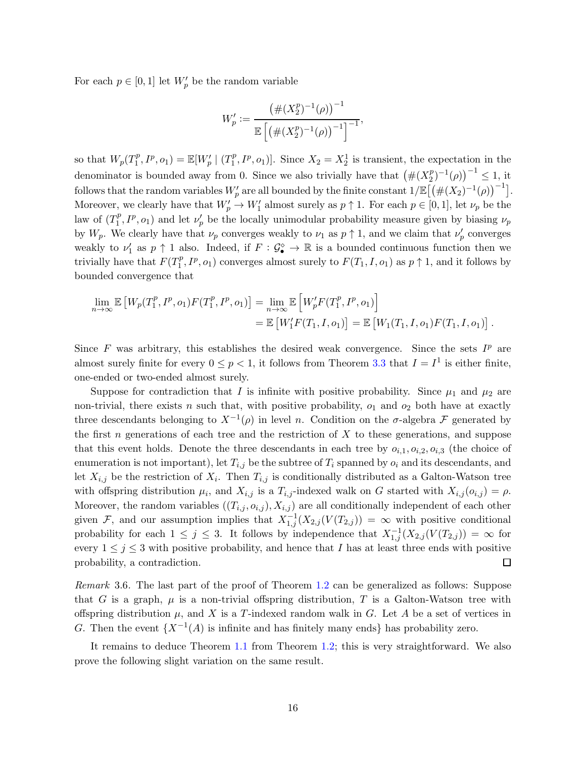For each  $p \in [0,1]$  let  $W_p'$  be the random variable

$$
W_p' := \frac{\left(\#(X_2^p)^{-1}(\rho)\right)^{-1}}{\mathbb{E}\left[\left(\#(X_2^p)^{-1}(\rho)\right)^{-1}\right]^{-1}},
$$

so that  $W_p(T_1^p)$  $T_1^p, I^p, o_1) = \mathbb{E}[W'_p | (T_1^p)$  $[T_1^p, I^p, o_1]$ . Since  $X_2 = X_2^1$  is transient, the expectation in the denominator is bounded away from 0. Since we also trivially have that  $(\#(X_2^p))$  $\binom{p}{2}^{-1}(\rho)\right)^{-1} \leq 1$ , it follows that the random variables  $W_p'$  are all bounded by the finite constant  $1/\mathbb{E}\left[\left(\#(X_2)^{-1}(\rho)\right)^{-1}\right]$ . Moreover, we clearly have that  $W'_p \to W'_1$  almost surely as  $p \uparrow 1$ . For each  $p \in [0,1]$ , let  $\nu_p$  be the law of  $(T_1^p)$  $\mathbb{P}_1^p$ ,  $I^p$ ,  $o_1$ ) and let  $\nu'_p$  be the locally unimodular probability measure given by biasing  $\nu_p$ by  $W_p$ . We clearly have that  $\nu_p$  converges weakly to  $\nu_1$  as  $p \uparrow 1$ , and we claim that  $\nu'_p$  converges weakly to  $\nu'_1$  as  $p \uparrow 1$  also. Indeed, if  $F : \mathcal{G}_\bullet^{\diamond} \to \mathbb{R}$  is a bounded continuous function then we trivially have that  $F(T_1^p)$  $T_1^p$ ,  $I^p$ ,  $o_1$ ) converges almost surely to  $F(T_1, I, o_1)$  as  $p \uparrow 1$ , and it follows by bounded convergence that

$$
\lim_{n \to \infty} \mathbb{E} \left[ W_p(T_1^p, I^p, o_1) F(T_1^p, I^p, o_1) \right] = \lim_{n \to \infty} \mathbb{E} \left[ W'_p F(T_1^p, I^p, o_1) \right] \n= \mathbb{E} \left[ W'_1 F(T_1, I, o_1) \right] = \mathbb{E} \left[ W_1(T_1, I, o_1) F(T_1, I, o_1) \right].
$$

Since  $F$  was arbitrary, this establishes the desired weak convergence. Since the sets  $I<sup>p</sup>$  are almost surely finite for every  $0 \le p < 1$ , it follows from Theorem [3.3](#page-10-0) that  $I = I<sup>1</sup>$  is either finite, one-ended or two-ended almost surely.

Suppose for contradiction that I is infinite with positive probability. Since  $\mu_1$  and  $\mu_2$  are non-trivial, there exists n such that, with positive probability,  $o_1$  and  $o_2$  both have at exactly three descendants belonging to  $X^{-1}(\rho)$  in level n. Condition on the  $\sigma$ -algebra F generated by the first  $n$  generations of each tree and the restriction of  $X$  to these generations, and suppose that this event holds. Denote the three descendants in each tree by  $o_{i,1}, o_{i,2}, o_{i,3}$  (the choice of enumeration is not important), let  $T_{i,j}$  be the subtree of  $T_i$  spanned by  $o_i$  and its descendants, and let  $X_{i,j}$  be the restriction of  $X_i$ . Then  $T_{i,j}$  is conditionally distributed as a Galton-Watson tree with offspring distribution  $\mu_i$ , and  $X_{i,j}$  is a  $T_{i,j}$ -indexed walk on G started with  $X_{i,j}(o_{i,j}) = \rho$ . Moreover, the random variables  $((T_{i,j}, o_{i,j}), X_{i,j})$  are all conditionally independent of each other given F, and our assumption implies that  $X_{1,j}^{-1}(X_{2,j}(V(T_{2,j})) = \infty$  with positive conditional probability for each  $1 \leq j \leq 3$ . It follows by independence that  $X_{1,j}^{-1}(X_{2,j}(V(T_{2,j})) = \infty$  for every  $1 \leq j \leq 3$  with positive probability, and hence that I has at least three ends with positive probability, a contradiction.  $\Box$ 

Remark 3.6. The last part of the proof of Theorem [1.2](#page-2-1) can be generalized as follows: Suppose that G is a graph,  $\mu$  is a non-trivial offspring distribution, T is a Galton-Watson tree with offspring distribution  $\mu$ , and X is a T-indexed random walk in G. Let A be a set of vertices in G. Then the event  $\{X^{-1}(A)$  is infinite and has finitely many ends} has probability zero.

<span id="page-15-0"></span>It remains to deduce Theorem [1.1](#page-2-0) from Theorem [1.2;](#page-2-1) this is very straightforward. We also prove the following slight variation on the same result.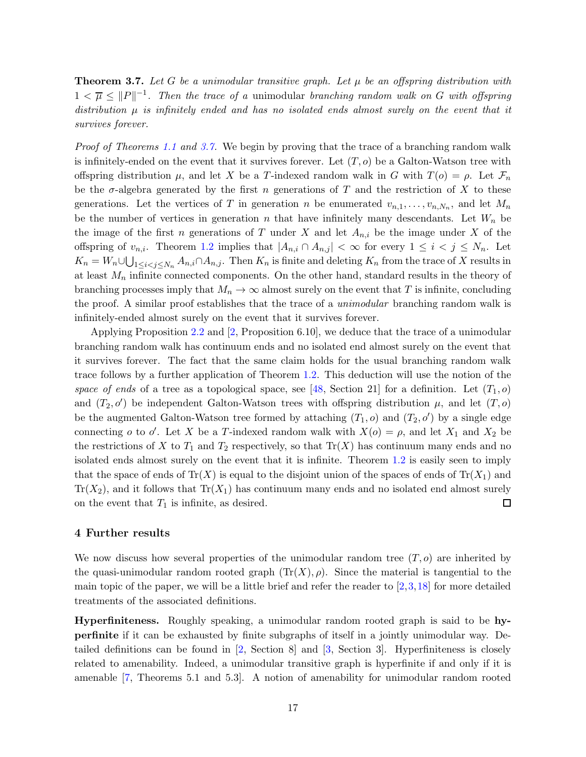**Theorem 3.7.** Let G be a unimodular transitive graph. Let  $\mu$  be an offspring distribution with  $1 < \overline{\mu} \leq ||P||^{-1}$ . Then the trace of a unimodular branching random walk on G with offspring distribution  $\mu$  is infinitely ended and has no isolated ends almost surely on the event that it survives forever.

Proof of Theorems [1.1](#page-2-0) and [3.7.](#page-15-0) We begin by proving that the trace of a branching random walk is infinitely-ended on the event that it survives forever. Let  $(T, o)$  be a Galton-Watson tree with offspring distribution  $\mu$ , and let X be a T-indexed random walk in G with  $T(o) = \rho$ . Let  $\mathcal{F}_n$ be the  $\sigma$ -algebra generated by the first n generations of T and the restriction of X to these generations. Let the vertices of T in generation n be enumerated  $v_{n,1}, \ldots, v_{n,N_n}$ , and let  $M_n$ be the number of vertices in generation n that have infinitely many descendants. Let  $W_n$  be the image of the first n generations of T under X and let  $A_{n,i}$  be the image under X of the offspring of  $v_{n,i}$ . Theorem [1.2](#page-2-1) implies that  $|A_{n,i} \cap A_{n,j}| < \infty$  for every  $1 \leq i \leq j \leq N_n$ . Let  $K_n = W_n \cup \bigcup_{1 \leq i < j \leq N_n} A_{n,i} \cap A_{n,j}$ . Then  $K_n$  is finite and deleting  $K_n$  from the trace of X results in at least  $M_n$  infinite connected components. On the other hand, standard results in the theory of branching processes imply that  $M_n \to \infty$  almost surely on the event that T is infinite, concluding the proof. A similar proof establishes that the trace of a *unimodular* branching random walk is infinitely-ended almost surely on the event that it survives forever.

Applying Proposition [2.2](#page-4-0) and [\[2,](#page-19-4) Proposition 6.10], we deduce that the trace of a unimodular branching random walk has continuum ends and no isolated end almost surely on the event that it survives forever. The fact that the same claim holds for the usual branching random walk trace follows by a further application of Theorem [1.2.](#page-2-1) This deduction will use the notion of the space of ends of a tree as a topological space, see [\[48,](#page-21-4) Section 21] for a definition. Let  $(T_1, o)$ and  $(T_2, o')$  be independent Galton-Watson trees with offspring distribution  $\mu$ , and let  $(T, o)$ be the augmented Galton-Watson tree formed by attaching  $(T_1, o)$  and  $(T_2, o')$  by a single edge connecting o to o'. Let X be a T-indexed random walk with  $X(o) = \rho$ , and let  $X_1$  and  $X_2$  be the restrictions of X to  $T_1$  and  $T_2$  respectively, so that  $Tr(X)$  has continuum many ends and no isolated ends almost surely on the event that it is infinite. Theorem [1.2](#page-2-1) is easily seen to imply that the space of ends of  $Tr(X)$  is equal to the disjoint union of the spaces of ends of  $Tr(X_1)$  and  $Tr(X_2)$ , and it follows that  $Tr(X_1)$  has continuum many ends and no isolated end almost surely  $\Box$ on the event that  $T_1$  is infinite, as desired.

# <span id="page-16-0"></span>4 Further results

We now discuss how several properties of the unimodular random tree  $(T, o)$  are inherited by the quasi-unimodular random rooted graph  $(\text{Tr}(X), \rho)$ . Since the material is tangential to the main topic of the paper, we will be a little brief and refer the reader to  $[2,3,18]$  $[2,3,18]$  $[2,3,18]$  for more detailed treatments of the associated definitions.

Hyperfiniteness. Roughly speaking, a unimodular random rooted graph is said to be hyperfinite if it can be exhausted by finite subgraphs of itself in a jointly unimodular way. Detailed definitions can be found in [\[2,](#page-19-4) Section 8] and [\[3,](#page-19-5) Section 3]. Hyperfiniteness is closely related to amenability. Indeed, a unimodular transitive graph is hyperfinite if and only if it is amenable [\[7,](#page-19-6) Theorems 5.1 and 5.3]. A notion of amenability for unimodular random rooted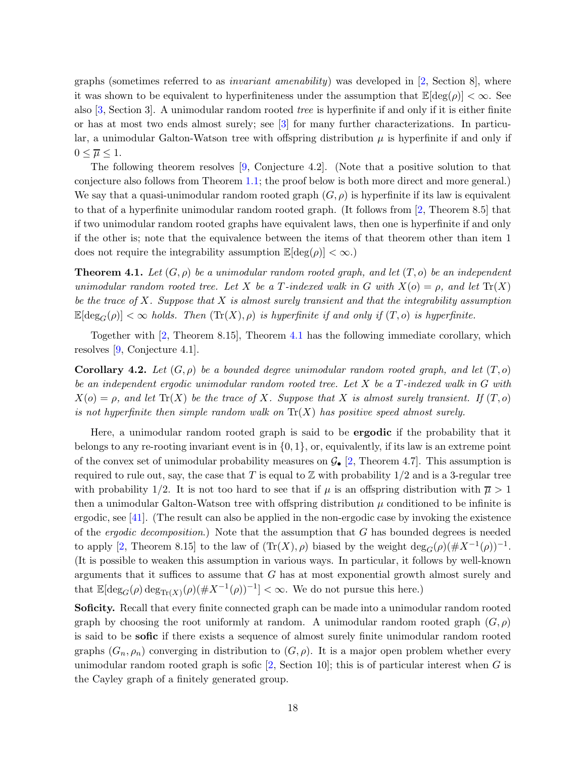graphs (sometimes referred to as *invariant amenability*) was developed in  $[2,$  Section 8, where it was shown to be equivalent to hyperfiniteness under the assumption that  $\mathbb{E}[\deg(\rho)] < \infty$ . See also [\[3,](#page-19-5) Section 3]. A unimodular random rooted tree is hyperfinite if and only if it is either finite or has at most two ends almost surely; see [\[3\]](#page-19-5) for many further characterizations. In particular, a unimodular Galton-Watson tree with offspring distribution  $\mu$  is hyperfinite if and only if  $0 \leq \overline{\mu} \leq 1$ .

The following theorem resolves [\[9,](#page-20-12) Conjecture 4.2]. (Note that a positive solution to that conjecture also follows from Theorem [1.1;](#page-2-0) the proof below is both more direct and more general.) We say that a quasi-unimodular random rooted graph  $(G, \rho)$  is hyperfinite if its law is equivalent to that of a hyperfinite unimodular random rooted graph. (It follows from [\[2,](#page-19-4) Theorem 8.5] that if two unimodular random rooted graphs have equivalent laws, then one is hyperfinite if and only if the other is; note that the equivalence between the items of that theorem other than item 1 does not require the integrability assumption  $\mathbb{E}[\deg(\rho)] < \infty$ .

<span id="page-17-0"></span>**Theorem 4.1.** Let  $(G, \rho)$  be a unimodular random rooted graph, and let  $(T, o)$  be an independent unimodular random rooted tree. Let X be a T-indexed walk in G with  $X(o) = \rho$ , and let  $Tr(X)$ be the trace of X. Suppose that X is almost surely transient and that the integrability assumption  $\mathbb{E}[\deg_G(\rho)] < \infty$  holds. Then  $(\text{Tr}(X), \rho)$  is hyperfinite if and only if  $(T, o)$  is hyperfinite.

Together with [\[2,](#page-19-4) Theorem 8.15], Theorem [4.1](#page-17-0) has the following immediate corollary, which resolves [\[9,](#page-20-12) Conjecture 4.1].

**Corollary 4.2.** Let  $(G, \rho)$  be a bounded degree unimodular random rooted graph, and let  $(T, o)$ be an independent ergodic unimodular random rooted tree. Let X be a T-indexed walk in G with  $X(o) = \rho$ , and let  $Tr(X)$  be the trace of X. Suppose that X is almost surely transient. If  $(T, o)$ is not hyperfinite then simple random walk on  $Tr(X)$  has positive speed almost surely.

Here, a unimodular random rooted graph is said to be ergodic if the probability that it belongs to any re-rooting invariant event is in  $\{0, 1\}$ , or, equivalently, if its law is an extreme point of the convex set of unimodular probability measures on  $\mathcal{G}_{\bullet}$  [\[2,](#page-19-4) Theorem 4.7]. This assumption is required to rule out, say, the case that T is equal to  $\mathbb Z$  with probability  $1/2$  and is a 3-regular tree with probability 1/2. It is not too hard to see that if  $\mu$  is an offspring distribution with  $\overline{\mu} > 1$ then a unimodular Galton-Watson tree with offspring distribution  $\mu$  conditioned to be infinite is ergodic, see  $\vert 41 \vert$ . (The result can also be applied in the non-ergodic case by invoking the existence of the ergodic decomposition.) Note that the assumption that G has bounded degrees is needed to apply [\[2,](#page-19-4) Theorem 8.15] to the law of  $(\text{Tr}(X), \rho)$  biased by the weight  $\deg_G(\rho) (\#X^{-1}(\rho))^{-1}$ . (It is possible to weaken this assumption in various ways. In particular, it follows by well-known arguments that it suffices to assume that G has at most exponential growth almost surely and that  $\mathbb{E}[\deg_G(\rho) \deg_{\text{Tr}(X)}(\rho) (\#X^{-1}(\rho))^{-1}] < \infty$ . We do not pursue this here.)

Soficity. Recall that every finite connected graph can be made into a unimodular random rooted graph by choosing the root uniformly at random. A unimodular random rooted graph  $(G, \rho)$ is said to be sofic if there exists a sequence of almost surely finite unimodular random rooted graphs  $(G_n, \rho_n)$  converging in distribution to  $(G, \rho)$ . It is a major open problem whether every unimodular random rooted graph is sofic  $[2,$  Section 10; this is of particular interest when G is the Cayley graph of a finitely generated group.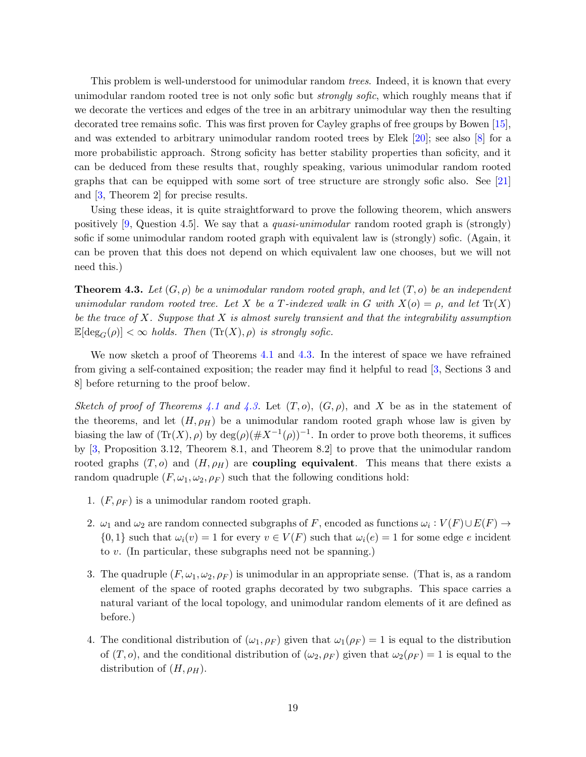This problem is well-understood for unimodular random *trees*. Indeed, it is known that every unimodular random rooted tree is not only sofic but *strongly sofic*, which roughly means that if we decorate the vertices and edges of the tree in an arbitrary unimodular way then the resulting decorated tree remains sofic. This was first proven for Cayley graphs of free groups by Bowen [\[15\]](#page-20-23), and was extended to arbitrary unimodular random rooted trees by Elek [\[20\]](#page-20-24); see also [\[8\]](#page-19-7) for a more probabilistic approach. Strong soficity has better stability properties than soficity, and it can be deduced from these results that, roughly speaking, various unimodular random rooted graphs that can be equipped with some sort of tree structure are strongly sofic also. See [\[21\]](#page-20-25) and [\[3,](#page-19-5) Theorem 2] for precise results.

Using these ideas, it is quite straightforward to prove the following theorem, which answers positively  $(9, \text{Question 4.5})$ . We say that a *quasi-unimodular* random rooted graph is (strongly) sofic if some unimodular random rooted graph with equivalent law is (strongly) sofic. (Again, it can be proven that this does not depend on which equivalent law one chooses, but we will not need this.)

<span id="page-18-0"></span>**Theorem 4.3.** Let  $(G, \rho)$  be a unimodular random rooted graph, and let  $(T, o)$  be an independent unimodular random rooted tree. Let X be a T-indexed walk in G with  $X(o) = \rho$ , and let  $Tr(X)$ be the trace of X. Suppose that X is almost surely transient and that the integrability assumption  $\mathbb{E}[\deg_G(\rho)] < \infty$  holds. Then  $(\text{Tr}(X), \rho)$  is strongly sofic.

We now sketch a proof of Theorems [4.1](#page-17-0) and [4.3.](#page-18-0) In the interest of space we have refrained from giving a self-contained exposition; the reader may find it helpful to read [\[3,](#page-19-5) Sections 3 and 8] before returning to the proof below.

Sketch of proof of Theorems [4.1](#page-17-0) and [4.3.](#page-18-0) Let  $(T, o)$ ,  $(G, \rho)$ , and X be as in the statement of the theorems, and let  $(H, \rho_H)$  be a unimodular random rooted graph whose law is given by biasing the law of  $(\text{Tr}(X), \rho)$  by  $\deg(\rho)(\#X^{-1}(\rho))^{-1}$ . In order to prove both theorems, it suffices by [\[3,](#page-19-5) Proposition 3.12, Theorem 8.1, and Theorem 8.2] to prove that the unimodular random rooted graphs  $(T, o)$  and  $(H, \rho_H)$  are **coupling equivalent**. This means that there exists a random quadruple  $(F, \omega_1, \omega_2, \rho_F)$  such that the following conditions hold:

- 1.  $(F, \rho_F)$  is a unimodular random rooted graph.
- 2.  $\omega_1$  and  $\omega_2$  are random connected subgraphs of F, encoded as functions  $\omega_i: V(F) \cup E(F) \to$  $\{0,1\}$  such that  $\omega_i(v) = 1$  for every  $v \in V(F)$  such that  $\omega_i(e) = 1$  for some edge e incident to v. (In particular, these subgraphs need not be spanning.)
- 3. The quadruple  $(F, \omega_1, \omega_2, \rho_F)$  is unimodular in an appropriate sense. (That is, as a random element of the space of rooted graphs decorated by two subgraphs. This space carries a natural variant of the local topology, and unimodular random elements of it are defined as before.)
- 4. The conditional distribution of  $(\omega_1, \rho_F)$  given that  $\omega_1(\rho_F) = 1$  is equal to the distribution of  $(T, o)$ , and the conditional distribution of  $(\omega_2, \rho_F)$  given that  $\omega_2(\rho_F) = 1$  is equal to the distribution of  $(H, \rho_H)$ .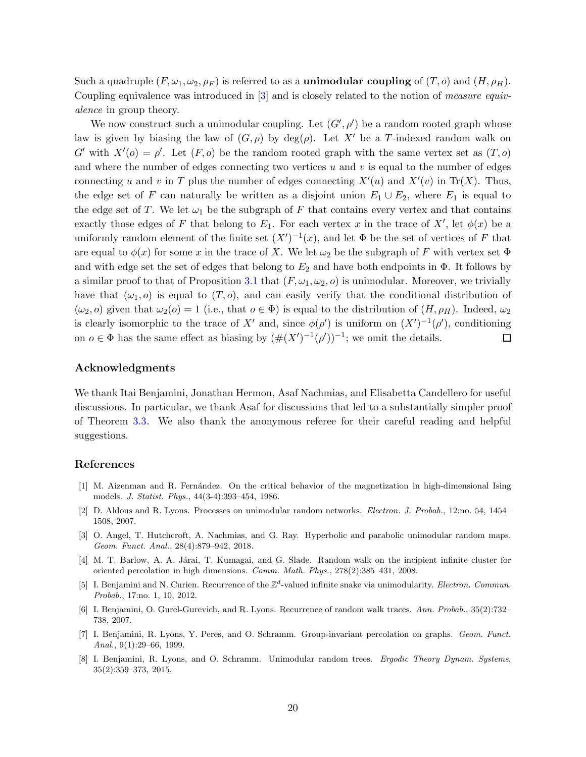Such a quadruple  $(F, \omega_1, \omega_2, \rho_F)$  is referred to as a **unimodular coupling** of  $(T, o)$  and  $(H, \rho_H)$ . Coupling equivalence was introduced in [\[3\]](#page-19-5) and is closely related to the notion of measure equivalence in group theory.

We now construct such a unimodular coupling. Let  $(G', \rho')$  be a random rooted graph whose law is given by biasing the law of  $(G, \rho)$  by  $deg(\rho)$ . Let X' be a T-indexed random walk on G' with  $X'(0) = \rho'$ . Let  $(F, o)$  be the random rooted graph with the same vertex set as  $(T, o)$ and where the number of edges connecting two vertices  $u$  and  $v$  is equal to the number of edges connecting u and v in T plus the number of edges connecting  $X'(u)$  and  $X'(v)$  in Tr(X). Thus, the edge set of F can naturally be written as a disjoint union  $E_1 \cup E_2$ , where  $E_1$  is equal to the edge set of T. We let  $\omega_1$  be the subgraph of F that contains every vertex and that contains exactly those edges of F that belong to  $E_1$ . For each vertex x in the trace of X', let  $\phi(x)$  be a uniformly random element of the finite set  $(X')^{-1}(x)$ , and let  $\Phi$  be the set of vertices of F that are equal to  $\phi(x)$  for some x in the trace of X. We let  $\omega_2$  be the subgraph of F with vertex set  $\Phi$ and with edge set the set of edges that belong to  $E_2$  and have both endpoints in  $\Phi$ . It follows by a similar proof to that of Proposition [3.1](#page-7-0) that  $(F, \omega_1, \omega_2, o)$  is unimodular. Moreover, we trivially have that  $(\omega_1, o)$  is equal to  $(T, o)$ , and can easily verify that the conditional distribution of  $(\omega_2, o)$  given that  $\omega_2(o) = 1$  (i.e., that  $o \in \Phi$ ) is equal to the distribution of  $(H, \rho_H)$ . Indeed,  $\omega_2$ is clearly isomorphic to the trace of X' and, since  $\phi(\rho')$  is uniform on  $(X')^{-1}(\rho')$ , conditioning on  $o \in \Phi$  has the same effect as biasing by  $(\#(X')^{-1}(\rho'))^{-1}$ ; we omit the details.  $\Box$ 

# Acknowledgments

We thank Itai Benjamini, Jonathan Hermon, Asaf Nachmias, and Elisabetta Candellero for useful discussions. In particular, we thank Asaf for discussions that led to a substantially simpler proof of Theorem [3.3.](#page-10-0) We also thank the anonymous referee for their careful reading and helpful suggestions.

## References

- <span id="page-19-0"></span>[1] M. Aizenman and R. Fern´andez. On the critical behavior of the magnetization in high-dimensional Ising models. J. Statist. Phys., 44(3-4):393–454, 1986.
- <span id="page-19-4"></span>[2] D. Aldous and R. Lyons. Processes on unimodular random networks. Electron. J. Probab., 12:no. 54, 1454– 1508, 2007.
- <span id="page-19-5"></span>[3] O. Angel, T. Hutchcroft, A. Nachmias, and G. Ray. Hyperbolic and parabolic unimodular random maps. Geom. Funct. Anal., 28(4):879–942, 2018.
- <span id="page-19-2"></span>[4] M. T. Barlow, A. A. Járai, T. Kumagai, and G. Slade. Random walk on the incipient infinite cluster for oriented percolation in high dimensions. Comm. Math. Phys., 278(2):385–431, 2008.
- <span id="page-19-3"></span>[5] I. Benjamini and N. Curien. Recurrence of the  $\mathbb{Z}^d$ -valued infinite snake via unimodularity. Electron. Commun. Probab., 17:no. 1, 10, 2012.
- <span id="page-19-1"></span>[6] I. Benjamini, O. Gurel-Gurevich, and R. Lyons. Recurrence of random walk traces. Ann. Probab., 35(2):732– 738, 2007.
- <span id="page-19-6"></span>[7] I. Benjamini, R. Lyons, Y. Peres, and O. Schramm. Group-invariant percolation on graphs. Geom. Funct. Anal., 9(1):29–66, 1999.
- <span id="page-19-7"></span>[8] I. Benjamini, R. Lyons, and O. Schramm. Unimodular random trees. Ergodic Theory Dynam. Systems, 35(2):359–373, 2015.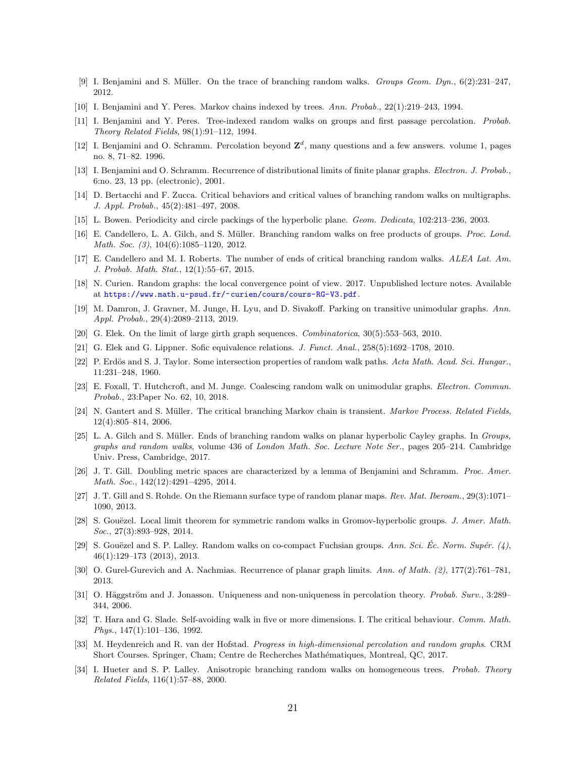- <span id="page-20-12"></span><span id="page-20-0"></span>[9] I. Benjamini and S. Müller. On the trace of branching random walks. *Groups Geom. Dyn.*,  $6(2)$ :231–247, 2012.
- <span id="page-20-1"></span>[10] I. Benjamini and Y. Peres. Markov chains indexed by trees. Ann. Probab., 22(1):219–243, 1994.
- [11] I. Benjamini and Y. Peres. Tree-indexed random walks on groups and first passage percolation. Probab. Theory Related Fields, 98(1):91–112, 1994.
- <span id="page-20-6"></span>[12] I. Benjamini and O. Schramm. Percolation beyond  $\mathbb{Z}^d$ , many questions and a few answers. volume 1, pages no. 8, 71–82. 1996.
- <span id="page-20-16"></span><span id="page-20-4"></span>[13] I. Benjamini and O. Schramm. Recurrence of distributional limits of finite planar graphs. Electron. J. Probab., 6:no. 23, 13 pp. (electronic), 2001.
- [14] D. Bertacchi and F. Zucca. Critical behaviors and critical values of branching random walks on multigraphs. J. Appl. Probab., 45(2):481–497, 2008.
- <span id="page-20-23"></span><span id="page-20-11"></span>[15] L. Bowen. Periodicity and circle packings of the hyperbolic plane. Geom. Dedicata, 102:213–236, 2003.
- [16] E. Candellero, L. A. Gilch, and S. Müller. Branching random walks on free products of groups. Proc. Lond. Math. Soc. (3), 104(6):1085–1120, 2012.
- <span id="page-20-14"></span>[17] E. Candellero and M. I. Roberts. The number of ends of critical branching random walks. ALEA Lat. Am. J. Probab. Math. Stat., 12(1):55–67, 2015.
- <span id="page-20-17"></span>[18] N. Curien. Random graphs: the local convergence point of view. 2017. Unpublished lecture notes. Available at <https://www.math.u-psud.fr/~curien/cours/cours-RG-V3.pdf>.
- <span id="page-20-18"></span>[19] M. Damron, J. Gravner, M. Junge, H. Lyu, and D. Sivakoff. Parking on transitive unimodular graphs. Ann. Appl. Probab., 29(4):2089–2113, 2019.
- <span id="page-20-25"></span><span id="page-20-24"></span>[20] G. Elek. On the limit of large girth graph sequences. Combinatorica, 30(5):553–563, 2010.
- <span id="page-20-15"></span>[21] G. Elek and G. Lippner. Sofic equivalence relations. J. Funct. Anal., 258(5):1692–1708, 2010.
- <span id="page-20-19"></span>[22] P. Erdös and S. J. Taylor. Some intersection properties of random walk paths. Acta Math. Acad. Sci. Hungar., 11:231–248, 1960.
- [23] E. Foxall, T. Hutchcroft, and M. Junge. Coalescing random walk on unimodular graphs. Electron. Commun. Probab., 23:Paper No. 62, 10, 2018.
- <span id="page-20-5"></span>[24] N. Gantert and S. Müller. The critical branching Markov chain is transient. Markov Process. Related Fields, 12(4):805–814, 2006.
- <span id="page-20-13"></span>[25] L. A. Gilch and S. Müller. Ends of branching random walks on planar hyperbolic Cayley graphs. In Groups, graphs and random walks, volume 436 of London Math. Soc. Lecture Note Ser., pages 205–214. Cambridge Univ. Press, Cambridge, 2017.
- <span id="page-20-22"></span>[26] J. T. Gill. Doubling metric spaces are characterized by a lemma of Benjamini and Schramm. Proc. Amer. Math. Soc., 142(12):4291–4295, 2014.
- <span id="page-20-20"></span>[27] J. T. Gill and S. Rohde. On the Riemann surface type of random planar maps. Rev. Mat. Iberoam., 29(3):1071– 1090, 2013.
- <span id="page-20-8"></span>[28] S. Gouëzel. Local limit theorem for symmetric random walks in Gromov-hyperbolic groups. J. Amer. Math. Soc., 27(3):893–928, 2014.
- <span id="page-20-9"></span>[29] S. Gouëzel and S. P. Lalley. Random walks on co-compact Fuchsian groups. Ann. Sci. Éc. Norm. Supér.  $(4)$ , 46(1):129–173 (2013), 2013.
- <span id="page-20-21"></span><span id="page-20-7"></span>[30] O. Gurel-Gurevich and A. Nachmias. Recurrence of planar graph limits. Ann. of Math. (2), 177(2):761–781, 2013.
- [31] O. Häggström and J. Jonasson. Uniqueness and non-uniqueness in percolation theory. Probab. Surv., 3:289– 344, 2006.
- <span id="page-20-2"></span>[32] T. Hara and G. Slade. Self-avoiding walk in five or more dimensions. I. The critical behaviour. Comm. Math. Phys., 147(1):101–136, 1992.
- <span id="page-20-3"></span>[33] M. Heydenreich and R. van der Hofstad. Progress in high-dimensional percolation and random graphs. CRM Short Courses. Springer, Cham; Centre de Recherches Math´ematiques, Montreal, QC, 2017.
- <span id="page-20-10"></span>[34] I. Hueter and S. P. Lalley. Anisotropic branching random walks on homogeneous trees. Probab. Theory Related Fields, 116(1):57–88, 2000.